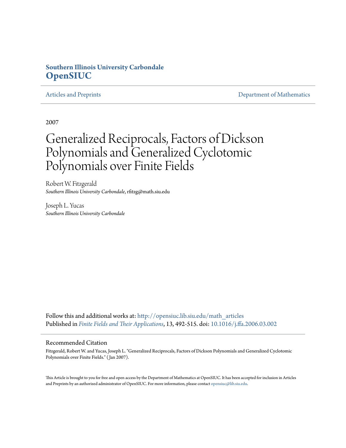#### **Southern Illinois University Carbondale [OpenSIUC](http://opensiuc.lib.siu.edu?utm_source=opensiuc.lib.siu.edu%2Fmath_articles%2F21&utm_medium=PDF&utm_campaign=PDFCoverPages)**

[Articles and Preprints](http://opensiuc.lib.siu.edu/math_articles?utm_source=opensiuc.lib.siu.edu%2Fmath_articles%2F21&utm_medium=PDF&utm_campaign=PDFCoverPages) **[Department of Mathematics](http://opensiuc.lib.siu.edu/math?utm_source=opensiuc.lib.siu.edu%2Fmath_articles%2F21&utm_medium=PDF&utm_campaign=PDFCoverPages)** 

2007

# Generalized Reciprocals, Factors of Dickson Polynomials and Generalized Cyclotomic Polynomials over Finite Fields

Robert W. Fitzgerald *Southern Illinois University Carbondale*, rfitzg@math.siu.edu

Joseph L. Yucas *Southern Illinois University Carbondale*

Follow this and additional works at: [http://opensiuc.lib.siu.edu/math\\_articles](http://opensiuc.lib.siu.edu/math_articles?utm_source=opensiuc.lib.siu.edu%2Fmath_articles%2F21&utm_medium=PDF&utm_campaign=PDFCoverPages) Published in *[Finite Fields and Their Applications](http://www.elsevier.com/wps/find/journaldescription.cws_home/622831/description#description)*, 13, 492-515. doi: [10.1016/j.ffa.2006.03.002](http://dx.doi.org/10.1016/j.ffa.2006.03.002)

#### Recommended Citation

Fitzgerald, Robert W. and Yucas, Joseph L. "Generalized Reciprocals, Factors of Dickson Polynomials and Generalized Cyclotomic Polynomials over Finite Fields." ( Jan 2007).

This Article is brought to you for free and open access by the Department of Mathematics at OpenSIUC. It has been accepted for inclusion in Articles and Preprints by an authorized administrator of OpenSIUC. For more information, please contact [opensiuc@lib.siu.edu](mailto:opensiuc@lib.siu.edu).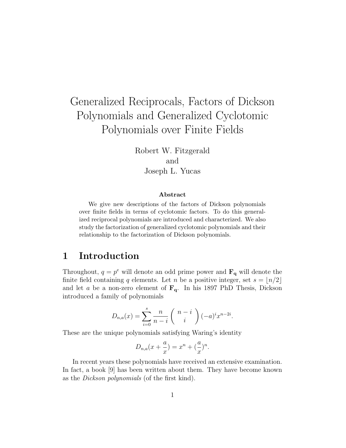# Generalized Reciprocals, Factors of Dickson Polynomials and Generalized Cyclotomic Polynomials over Finite Fields

Robert W. Fitzgerald and Joseph L. Yucas

#### Abstract

We give new descriptions of the factors of Dickson polynomials over finite fields in terms of cyclotomic factors. To do this generalized reciprocal polynomials are introduced and characterized. We also study the factorization of generalized cyclotomic polynomials and their relationship to the factorization of Dickson polynomials.

#### 1 Introduction

Throughout,  $q = p^e$  will denote an odd prime power and  $\mathbf{F}_q$  will denote the finite field containing q elements. Let n be a positive integer, set  $s = |n/2|$ and let a be a non-zero element of  $\mathbf{F}_{q}$ . In his 1897 PhD Thesis, Dickson introduced a family of polynomials

$$
D_{n,a}(x) = \sum_{i=0}^{s} \frac{n}{n-i} {n-i \choose i} (-a)^{i} x^{n-2i}.
$$

These are the unique polynomials satisfying Waring's identity

$$
D_{n,a}(x+\frac{a}{x}) = x^n + (\frac{a}{x})^n.
$$

In recent years these polynomials have received an extensive examination. In fact, a book [9] has been written about them. They have become known as the Dickson polynomials (of the first kind).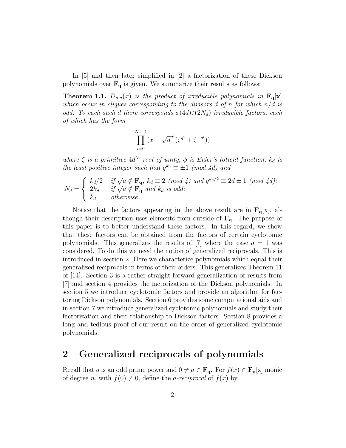In [5] and then later simplified in [2] a factorization of these Dickson polynomials over  $\mathbf{F}_{q}$  is given. We summarize their results as follows:

**Theorem 1.1.**  $D_{n,a}(x)$  is the product of irreducible polynomials in  $\mathbf{F}_{q}[\mathbf{x}]$ which occur in cliques corresponding to the divisors  $d$  of n for which  $n/d$  is odd. To each such d there corresponds  $\phi(4d)/(2N_d)$  irreducible factors, each of which has the form

$$
\prod_{i=0}^{N_d-1} (x - \sqrt{a}^{q^i} (\zeta^{q^i} + \zeta^{-q^i}))
$$

where  $\zeta$  is a primitive  $4d^{th}$  root of unity,  $\phi$  is Euler's totient function,  $k_d$  is the least positive integer such that  $q^{k_d} \equiv \pm 1 \pmod{4d}$  and

$$
N_d = \begin{cases} k_d/2 & \text{if } \sqrt{a} \notin \mathbf{F}_q, k_d \equiv 2 \pmod{4} \text{ and } q^{k_d/2} \equiv 2d \pm 1 \pmod{4d}; \\ 2k_d & \text{if } \sqrt{a} \notin \mathbf{F}_q \text{ and } k_d \text{ is odd}; \\ k_d & \text{otherwise}. \end{cases}
$$

Notice that the factors appearing in the above result are in  $\mathbf{F}_{q}[\mathbf{x}]$ , although their description uses elements from outside of  $\mathbf{F}_{q}$ . The purpose of this paper is to better understand these factors. In this regard, we show that these factors can be obtained from the factors of certain cyclotomic polynomials. This generalizes the results of  $[7]$  where the case  $a = 1$  was considered. To do this we need the notion of generalized reciprocals. This is introduced in section 2. Here we characterize polynomials which equal their generalized reciprocals in terms of their orders. This generalizes Theorem 11 of [14]. Section 3 is a rather straight-forward generalization of results from [7] and section 4 provides the factorization of the Dickson polynomials. In section 5 we introduce cyclotomic factors and provide an algorithm for factoring Dickson polynomials. Section 6 provides some computational aids and in section 7 we introduce generalized cyclotomic polynomials and study their factorization and their relationship to Dickson factors. Section 8 provides a long and tedious proof of our result on the order of generalized cyclotomic polynomials.

#### 2 Generalized reciprocals of polynomials

Recall that q is an odd prime power and  $0 \neq a \in \mathbf{F}_{q}$ . For  $f(x) \in \mathbf{F}_{q}[x]$  monic of degree n, with  $f(0) \neq 0$ , define the *a-reciprocal* of  $f(x)$  by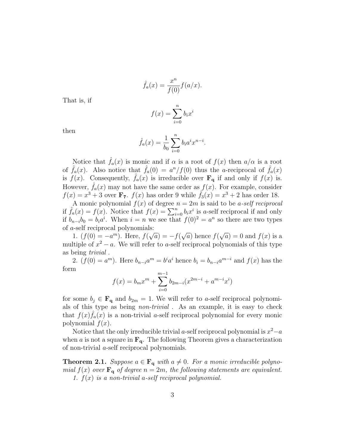$$
\hat{f}_a(x) = \frac{x^n}{f(0)} f(a/x).
$$

That is, if

$$
f(x) = \sum_{i=0}^{n} b_i x^i
$$

then

$$
\hat{f}_a(x) = \frac{1}{b_0} \sum_{i=0}^n b_i a^i x^{n-i}.
$$

Notice that  $\hat{f}_a(x)$  is monic and if  $\alpha$  is a root of  $f(x)$  then  $a/\alpha$  is a root of  $\hat{f}_a(x)$ . Also notice that  $\hat{f}_a(0) = a^n/f(0)$  thus the *a*-reciprocal of  $\hat{f}_a(x)$ is  $f(x)$ . Consequently,  $\hat{f}_a(x)$  is irreducible over  $\mathbf{F}_q$  if and only if  $f(x)$  is. However,  $\hat{f}_a(x)$  may not have the same order as  $f(x)$ . For example, consider  $f(x) = x^3 + 3$  over  $\mathbf{F}_7$ .  $f(x)$  has order 9 while  $\hat{f}_3(x) = x^3 + 2$  has order 18.

A monic polynomial  $f(x)$  of degree  $n = 2m$  is said to be *a-self reciprocal* A monic polynomial  $f(x)$  of degree  $n = 2m$  is said to be *a-self reciprocal*<br>if  $\hat{f}_a(x) = f(x)$ . Notice that  $f(x) = \sum_{i=0}^n b_i x^i$  is *a*-self reciprocal if and only if  $b_{n-i}b_0 = b_i a^i$ . When  $i = n$  we see that  $f(0)^2 = a^n$  so there are two types of *a*-self reciprocal polynomials: √ √

1.  $(f(0) = -a^m)$ . Here,  $f(\sqrt{a}) = -f($  $\overline{a}$ ) hence  $f($  $\overline{a}$ ) = 0 and  $f(x)$  is a multiple of  $x^2 - a$ . We will refer to a-self reciprocal polynomials of this type as being trivial .

2.  $(f(0) = a^m)$ . Here  $b_{n-i}a^m = b^i a^i$  hence  $b_i = b_{n-i}a^{m-i}$  and  $f(x)$  has the form

$$
f(x) = b_m x^m + \sum_{i=0}^{m-1} b_{2m-i} (x^{2m-i} + a^{m-i} x^i)
$$

for some  $b_i \in \mathbf{F}_q$  and  $b_{2m} = 1$ . We will refer to a-self reciprocal polynomials of this type as being non-trivial . As an example, it is easy to check that  $f(x)\hat{f}_a(x)$  is a non-trivial a-self reciprocal polynomial for every monic polynomial  $f(x)$ .

Notice that the only irreducible trivial a-self reciprocal polynomial is  $x^2-a$ when a is not a square in  $\mathbf{F}_{q}$ . The following Theorem gives a characterization of non-trivial a-self reciprocal polynomials.

**Theorem 2.1.** Suppose  $a \in \mathbf{F_q}$  with  $a \neq 0$ . For a monic irreducible polynomial  $f(x)$  over  $\mathbf{F}_{q}$  of degree  $n = 2m$ , the following statements are equivalent. 1.  $f(x)$  is a non-trivial a-self reciprocal polynomial.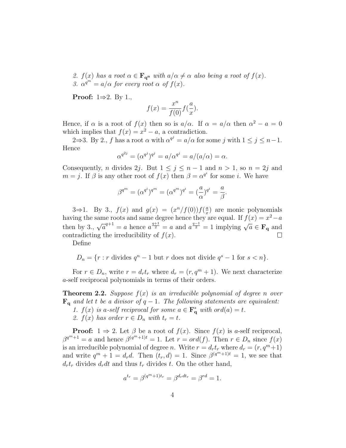2.  $f(x)$  has a root  $\alpha \in \mathbf{F}_{q^n}$  with  $a/\alpha \neq \alpha$  also being a root of  $f(x)$ . 3.  $\alpha^{q^m} = a/\alpha$  for every root  $\alpha$  of  $f(x)$ .

**Proof:**  $1 \Rightarrow 2$ . By 1.,

$$
f(x) = \frac{x^n}{f(0)} f(\frac{a}{x}).
$$

Hence, if  $\alpha$  is a root of  $f(x)$  then so is  $a/\alpha$ . If  $\alpha = a/\alpha$  then  $\alpha^2 - a = 0$ which implies that  $f(x) = x^2 - a$ , a contradiction.

2⇒3. By 2., f has a root  $\alpha$  with  $\alpha^{q^j} = a/\alpha$  for some j with  $1 \leq j \leq n-1$ . Hence

$$
\alpha^{q^{2j}} = (\alpha^{q^j})^{q^j} = a/\alpha^{q^j} = a/(a/\alpha) = \alpha.
$$

Consequently, *n* divides 2*j*. But  $1 \leq j \leq n-1$  and  $n > 1$ , so  $n = 2j$  and  $m = j$ . If  $\beta$  is any other root of  $f(x)$  then  $\beta = \alpha^{q^i}$  for some *i*. We have

$$
\beta^{q^m} = (\alpha^{q^i})^{q^m} = (\alpha^{q^m})^{q^i} = (\frac{a}{\alpha})^{q^i} = \frac{a}{\beta}.
$$

3⇒1. By 3.,  $f(x)$  and  $g(x) = (x^n/f(0))f(\frac{a}{x})$  $\frac{a}{x}$ ) are monic polynomials having the same roots and same degree hence they are equal. If  $f(x) = x^2 - a$ then by 3.,  $\sqrt{a}^{q+1} = a$  hence  $a^{\frac{q+1}{2}} = a$  and  $a^{\frac{q-1}{2}} = 1$  implying  $\sqrt{a} \in \mathbf{F}_q$  and contradicting the irreducibility of  $f(x)$ .  $\Box$ 

Define

$$
D_n = \{r : r \text{ divides } q^n - 1 \text{ but } r \text{ does not divide } q^s - 1 \text{ for } s < n\}.
$$

For  $r \in D_n$ , write  $r = d_r t_r$  where  $d_r = (r, q^m + 1)$ . We next characterize a-self reciprocal polynomials in terms of their orders.

**Theorem 2.2.** Suppose  $f(x)$  is an irreducible polynomial of degree n over  $\mathbf{F}_{q}$  and let t be a divisor of  $q-1$ . The following statements are equivalent: 1.  $f(x)$  is a-self reciprocal for some  $a \in \mathbf{F}_q^*$  with ord $(a) = t$ .

2.  $f(x)$  has order  $r \in D_n$  with  $t_r = t$ .

**Proof:**  $1 \Rightarrow 2$ . Let  $\beta$  be a root of  $f(x)$ . Since  $f(x)$  is a-self reciprocal,  $\beta^{q^m+1} = a$  and hence  $\beta^{(q^m+1)t} = 1$ . Let  $r = ord(f)$ . Then  $r \in D_n$  since  $f(x)$ is an irreducible polynomial of degree n. Write  $r = d_r t_r$ , where  $d_r = (r, q^m + 1)$ and write  $q^m + 1 = d_r d$ . Then  $(t_r, d) = 1$ . Since  $\beta^{(q^m+1)t} = 1$ , we see that  $d_r t_r$  divides  $d_r dt$  and thus  $t_r$  divides t. On the other hand,

$$
a^{t_r} = \beta^{(q^m+1)t_r} = \beta^{d_r dt_r} = \beta^{rd} = 1.
$$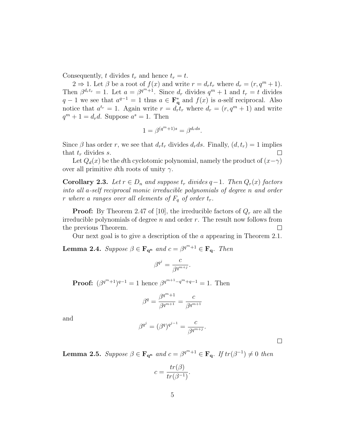Consequently, t divides  $t_r$  and hence  $t_r = t$ .

 $2 \Rightarrow 1$ . Let  $\beta$  be a root of  $f(x)$  and write  $r = d_r t_r$  where  $d_r = (r, q^m + 1)$ . Then  $\beta^{d_r t_r} = 1$ . Let  $a = \beta^{q^m + 1}$ . Since  $d_r$  divides  $q^m + 1$  and  $t_r = t$  divides  $q-1$  we see that  $a^{q-1} = 1$  thus  $a \in \mathbf{F}_q^*$  and  $f(x)$  is a-self reciprocal. Also notice that  $a^{t_r} = 1$ . Again write  $r = d_r t_r$  where  $d_r = (r, q^m + 1)$  and write  $q^m + 1 = d_r d$ . Suppose  $a^s = 1$ . Then

$$
1 = \beta^{(q^m + 1)s} = \beta^{d_r ds}.
$$

Since  $\beta$  has order r, we see that  $d_r t_r$  divides  $d_r ds$ . Finally,  $(d, t_r) = 1$  implies that  $t_r$  divides s.  $\Box$ 

Let  $Q_d(x)$  be the dth cyclotomic polynomial, namely the product of  $(x-\gamma)$ over all primitive dth roots of unity  $\gamma$ .

**Corollary 2.3.** Let  $r ∈ D_n$  and suppose  $t_r$  divides  $q-1$ . Then  $Q_r(x)$  factors into all a-self reciprocal monic irreducible polynomials of degree n and order r where a ranges over all elements of  $F_q$  of order  $t_r$ .

**Proof:** By Theorem 2.47 of [10], the irreducible factors of  $Q_r$  are all the irreducible polynomials of degree  $n$  and order  $r$ . The result now follows from the previous Theorem.  $\Box$ 

Our next goal is to give a description of the a appearing in Theorem 2.1.

**Lemma 2.4.** Suppose  $\beta \in \mathbf{F}_{\mathbf{q}^n}$  and  $c = \beta^{q^m+1} \in \mathbf{F}_{\mathbf{q}}$ . Then

$$
\beta^{q^j} = \frac{c}{\beta^{q^{m+j}}}.
$$

**Proof:**  $(\beta^{q^m+1})^{q-1} = 1$  hence  $\beta^{q^{m+1}-q^m+q-1} = 1$ . Then

$$
\beta^q = \frac{\beta^{q^m+1}}{\beta^{q^{m+1}}} = \frac{c}{\beta^{q^{m+1}}}
$$

and

$$
\beta^{q^j} = (\beta^q)^{q^{j-1}} = \frac{c}{\beta^{q^{m+j}}}.
$$

**Lemma 2.5.** Suppose  $\beta \in \mathbf{F}_{\mathbf{q}^n}$  and  $c = \beta^{q^m+1} \in \mathbf{F}_{\mathbf{q}}$ . If  $tr(\beta^{-1}) \neq 0$  then

$$
c = \frac{tr(\beta)}{tr(\beta^{-1})}.
$$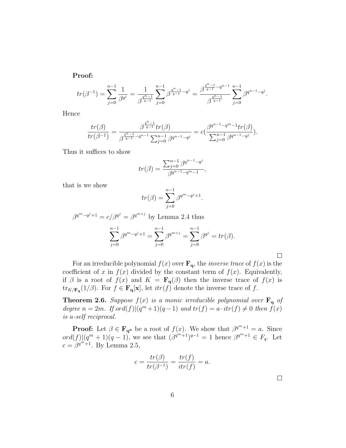Proof:

$$
tr(\beta^{-1}) = \sum_{j=0}^{n-1} \frac{1}{\beta^{q^j}} = \frac{1}{\beta^{\frac{q^n-1}{q-1}}} \sum_{j=0}^{n-1} \beta^{\frac{q^n-1}{q-1}-q^j} = \frac{\beta^{\frac{q^n-1}{q-1}-q^{n-1}}}{\beta^{\frac{q^n-1}{q-1}}} \sum_{j=0}^{n-1} \beta^{q^{n-1}-q^j}.
$$

Hence

$$
\frac{tr(\beta)}{tr(\beta^{-1})} = \frac{\beta^{\frac{q^n-1}{q-1}} tr(\beta)}{\beta^{\frac{q^n-1}{q-1}-q^{n-1}} \sum_{j=0}^{n-1} \beta^{q^{n-1}-q^{j}}} = c \big( \frac{\beta^{q^{n-1}-q^m-1} tr(\beta)}{\sum_{j=0}^{n-1} \beta^{q^{n-1}-q^{j}}} \big).
$$

Thus it suffices to show

$$
tr(\beta) = \frac{\sum_{j=0}^{n-1} \beta^{q^{n-1} - q^j}}{\beta^{q^{n-1} - q^m - 1}},
$$

that is we show

$$
tr(\beta) = \sum_{j=0}^{n-1} \beta^{q^m - q^j + 1}.
$$

$$
\beta^{q^m - q^j + 1} = c/\beta^{q^j} = \beta^{q^{m+j}}
$$
 by Lemma 2.4 thus  

$$
\sum_{j=0}^{n-1} \beta^{q^m - q^j + 1} = \sum_{j=0}^{n-1} \beta^{q^{m+j}} = \sum_{j=0}^{n-1} \beta^{q^j} = tr(\beta).
$$

For an irreducible polynomial  $f(x)$  over  $\mathbf{F}_{q}$ , the *inverse trace* of  $f(x)$  is the coefficient of x in  $f(x)$  divided by the constant term of  $f(x)$ . Equivalently, if  $\beta$  is a root of  $f(x)$  and  $K = \mathbf{F}_{q}(\beta)$  then the inverse trace of  $f(x)$  is  $\text{tr}_{K/\mathbf{F}_{q}}(1/\beta)$ . For  $f \in \mathbf{F}_{q}[\mathbf{x}]$ , let  $itr(f)$  denote the inverse trace of f.

**Theorem 2.6.** Suppose  $f(x)$  is a monic irreducible polynomial over  $\mathbf{F}_q$  of degree  $n = 2m$ . If  $ord(f)|(q^m + 1)(q - 1)$  and  $tr(f) = a \cdot tr(f) \neq 0$  then  $f(x)$ is a-self reciprocal.

**Proof:** Let  $\beta \in \mathbf{F}_{\mathbf{q}^n}$  be a root of  $f(x)$ . We show that  $\beta^{q^m+1} = a$ . Since  $ord(f)|(q^m+1)(q-1)$ , we see that  $(\beta^{q^m+1})^{q-1}=1$  hence  $\beta^{q^m+1} \in F_q$ . Let  $c = \beta^{q^m+1}$ . By Lemma 2.5,

$$
c = \frac{tr(\beta)}{tr(\beta^{-1})} = \frac{tr(f)}{itr(f)} = a.
$$

 $\Box$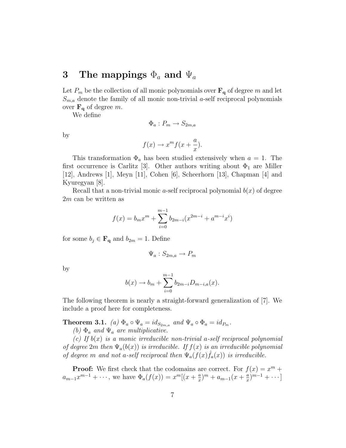### 3 The mappings  $\Phi_a$  and  $\Psi_a$

Let  $P_m$  be the collection of all monic polynomials over  $\mathbf{F}_{q}$  of degree m and let  $S_{m,a}$  denote the family of all monic non-trivial a-self reciprocal polynomials over  $\mathbf{F}_{q}$  of degree m.

We define

by

$$
f(x) \to x^m f(x + \frac{a}{x}).
$$

 $\Phi_a: P_m \to S_{2m,a}$ 

This transformation  $\Phi_a$  has been studied extensively when  $a = 1$ . The first occurrence is Carlitz [3]. Other authors writing about  $\Phi_1$  are Miller [12], Andrews [1], Meyn [11], Cohen [6], Scheerhorn [13], Chapman [4] and Kyuregyan [8].

Recall that a non-trivial monic *a*-self reciprocal polynomial  $b(x)$  of degree 2m can be written as

$$
f(x) = b_m x^m + \sum_{i=0}^{m-1} b_{2m-i} (x^{2m-i} + a^{m-i} x^i)
$$

for some  $b_j \in \mathbf{F}_q$  and  $b_{2m} = 1$ . Define

$$
\Psi_a: S_{2m,a} \to P_m
$$

by

$$
b(x) \to b_m + \sum_{i=0}^{m-1} b_{2m-i} D_{m-i,a}(x).
$$

The following theorem is nearly a straight-forward generalization of [7]. We include a proof here for completeness.

**Theorem 3.1.** (a)  $\Phi_a \circ \Psi_a = id_{S_{2m,a}}$  and  $\Psi_a \circ \Phi_a = id_{P_m}$ .

(b)  $\Phi_a$  and  $\Psi_a$  are multiplicative.

(c) If  $b(x)$  is a monic irreducible non-trivial a-self reciprocal polynomial of degree 2m then  $\Psi_a(b(x))$  is irreducible. If  $f(x)$  is an irreducible polynomial of degree m and not a-self reciprocal then  $\Psi_a(f(x)\hat{f}_a(x))$  is irreducible.

**Proof:** We first check that the codomains are correct. For  $f(x) = x^m +$  $a_{m-1}x^{m-1} + \cdots$ , we have  $\Phi_a(f(x)) = x^m[(x + \frac{a}{x})]$  $\frac{a}{x}$ <sup>m</sup> + a<sub>m-1</sub>(x +  $\frac{a}{x}$  $\frac{a}{x}$  $)^{m-1}$  +  $\cdots$ ]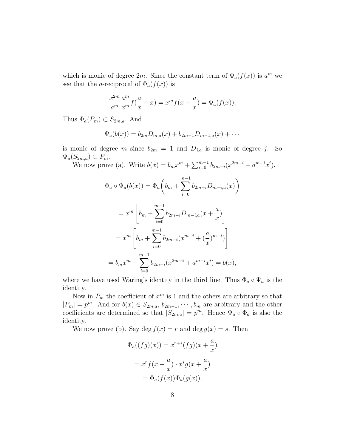which is monic of degree 2m. Since the constant term of  $\Phi_a(f(x))$  is  $a^m$  we see that the *a*-reciprocal of  $\Phi_a(f(x))$  is

$$
\frac{x^{2m}}{a^m}\frac{a^m}{x^m}f(\frac{a}{x}+x) = x^m f(x+\frac{a}{x}) = \Phi_a(f(x)).
$$

Thus  $\Phi_a(P_m) \subset S_{2m,a}$ . And

$$
\Psi_a(b(x)) = b_{2m}D_{m,a}(x) + b_{2m-1}D_{m-1,a}(x) + \cdots
$$

is monic of degree m since  $b_{2m} = 1$  and  $D_{j,a}$  is monic of degree j. So  $\Psi_a(S_{2m,a}) \subset P_m$ .

 $D_{2m,a}$   $\subset F_m$ .<br>We now prove (a). Write  $b(x) = b_m x^m + \sum_{i=0}^{m-1}$  $_{i=0}^{m-1} b_{2m-i}(x^{2m-i} + a^{m-i}x^{i}).$ 

$$
\Phi_a \circ \Psi_a(b(x)) = \Phi_a\left(b_m + \sum_{i=0}^{m-1} b_{2m-i}D_{m-i,a}(x)\right)
$$
  
=  $x^m \left[b_m + \sum_{i=0}^{m-1} b_{2m-i}D_{m-i,a}(x + \frac{a}{x})\right]$   
=  $x^m \left[b_m + \sum_{i=0}^{m-1} b_{2m-i}(x^{m-i} + (\frac{a}{x})^{m-i})\right]$   
=  $b_mx^m + \sum_{i=0}^{m-1} b_{2m-i}(x^{2m-i} + a^{m-i}x^i) = b(x),$ 

where we have used Waring's identity in the third line. Thus  $\Phi_a \circ \Psi_a$  is the identity.

Now in  $P_m$  the coefficient of  $x^m$  is 1 and the others are arbitrary so that  $|P_m| = p^m$ . And for  $b(x) \in S_{2m,a}, b_{2m-1}, \cdots, b_m$  are arbitrary and the other coefficients are determined so that  $|S_{2m,a}| = p^m$ . Hence  $\Psi_a \circ \Phi_a$  is also the identity.

We now prove (b). Say deg  $f(x) = r$  and deg  $g(x) = s$ . Then

$$
\Phi_a((fg)(x)) = x^{r+s}(fg)(x + \frac{a}{x})
$$

$$
= x^r f(x + \frac{a}{x}) \cdot x^s g(x + \frac{a}{x})
$$

$$
= \Phi_a(f(x)) \Phi_a(g(x)).
$$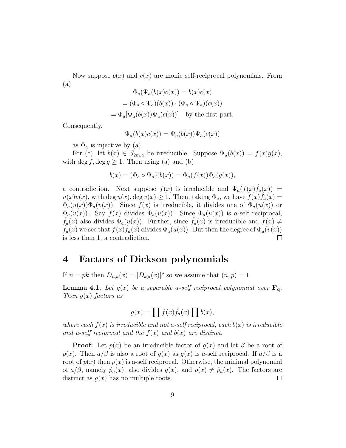Now suppose  $b(x)$  and  $c(x)$  are monic self-reciprocal polynomials. From (a)

$$
\Phi_a(\Psi_a(b(x)c(x)) = b(x)c(x)
$$

$$
= (\Phi_a \circ \Psi_a)(b(x)) \cdot (\Phi_a \circ \Psi_a)(c(x))
$$

$$
= \Phi_a[\Psi_a(b(x))\Psi_a(c(x))]
$$
 by the first part.

Consequently,

$$
\Psi_a(b(x)c(x)) = \Psi_a(b(x))\Psi_a(c(x))
$$

as  $\Phi_a$  is injective by (a).

For (c), let  $b(x) \in S_{2m,a}$  be irreducible. Suppose  $\Psi_a(b(x)) = f(x)g(x)$ , with deg f, deg  $q \geq 1$ . Then using (a) and (b)

$$
b(x) = (\Phi_a \circ \Psi_a)(b(x)) = \Phi_a(f(x))\Phi_a(g(x)),
$$

a contradiction. Next suppose  $f(x)$  is irreducible and  $\Psi_a(f(x)\hat{f}_a(x))$  =  $u(x)v(x)$ , with deg  $u(x)$ , deg  $v(x) \geq 1$ . Then, taking  $\Phi_a$ , we have  $f(x)\hat{f}_a(x) =$  $\Phi_a(u(x))\Phi_a(v(x))$ . Since  $f(x)$  is irreducible, it divides one of  $\Phi_a(u(x))$  or  $\Phi_a(v(x))$ . Say  $f(x)$  divides  $\Phi_a(u(x))$ . Since  $\Phi_a(u(x))$  is a-self reciprocal,  $f_a(x)$  also divides  $\Phi_a(u(x))$ . Further, since  $\hat{f}_a(x)$  is irreducible and  $f(x) \neq$  $\hat{f}_a(x)$  we see that  $f(x)\hat{f}_a(x)$  divides  $\Phi_a(u(x))$ . But then the degree of  $\Phi_a(v(x))$ is less than 1, a contradiction.  $\Box$ 

#### 4 Factors of Dickson polynomials

If  $n = pk$  then  $D_{n,a}(x) = [D_{k,a}(x)]^p$  so we assume that  $(n, p) = 1$ .

**Lemma 4.1.** Let  $g(x)$  be a separable a-self reciprocal polynomial over  $\mathbf{F}_{q}$ . Then  $q(x)$  factors as

$$
g(x) = \prod f(x)\hat{f}_a(x)\prod b(x),
$$

where each  $f(x)$  is irreducible and not a-self reciprocal, each  $b(x)$  is irreducible and a-self reciprocal and the  $f(x)$  and  $b(x)$  are distinct.

**Proof:** Let  $p(x)$  be an irreducible factor of  $q(x)$  and let  $\beta$  be a root of  $p(x)$ . Then  $a/\beta$  is also a root of  $g(x)$  as  $g(x)$  is a-self reciprocal. If  $a/\beta$  is a root of  $p(x)$  then  $p(x)$  is a-self reciprocal. Otherwise, the minimal polynomial of  $a/\beta$ , namely  $\hat{p}_a(x)$ , also divides  $g(x)$ , and  $p(x) \neq \hat{p}_a(x)$ . The factors are distinct as  $q(x)$  has no multiple roots.  $\Box$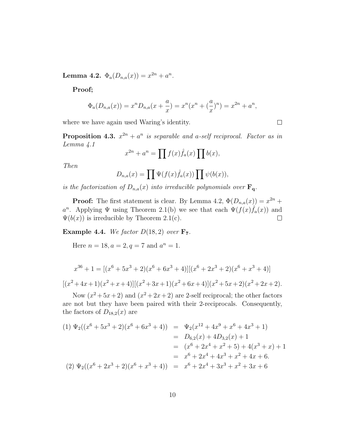Lemma 4.2.  $\Phi_a(D_{n,a}(x)) = x^{2n} + a^n$ .

Proof;

$$
\Phi_a(D_{n,a}(x)) = x^n D_{n,a}(x + \frac{a}{x}) = x^n (x^n + (\frac{a}{x})^n) = x^{2n} + a^n,
$$

where we have again used Waring's identity.

**Proposition 4.3.**  $x^{2n} + a^n$  is separable and a-self reciprocal. Factor as in Lemma 4.1

$$
x^{2n} + a^n = \prod f(x)\hat{f}_a(x) \prod b(x),
$$

Then

$$
D_{n,a}(x) = \prod \Psi(f(x)\hat{f}_a(x)) \prod \psi(b(x)),
$$

is the factorization of  $D_{n,a}(x)$  into irreducible polynomials over  $\mathbf{F}_{q}$ .

**Proof:** The first statement is clear. By Lemma 4.2,  $\Phi(D_{n,a}(x)) = x^{2n} +$ a<sup>n</sup>. Applying  $\Psi$  using Theorem 2.1(b) we see that each  $\Psi(f(x)\hat{f}_a(x))$  and  $\Psi(b(x))$  is irreducible by Theorem 2.1(c).  $\Box$ 

**Example 4.4.** We factor  $D(18, 2)$  over  $\mathbf{F}_7$ .

Here  $n = 18, a = 2, q = 7$  and  $a^n = 1$ .

$$
x^{36} + 1 = [(x^6 + 5x^3 + 2)(x^6 + 6x^3 + 4)][(x^6 + 2x^3 + 2)(x^6 + x^3 + 4)]
$$
  

$$
[(x^2 + 4x + 1)(x^2 + x + 4)][(x^2 + 3x + 1)(x^2 + 6x + 4)](x^2 + 5x + 2)(x^2 + 2x + 2).
$$

Now  $(x^2+5x+2)$  and  $(x^2+2x+2)$  are 2-self reciprocal; the other factors are not but they have been paired with their 2-reciprocals. Consequently, the factors of  $D_{18,2}(x)$  are

$$
(1) \Psi_2((x^6 + 5x^3 + 2)(x^6 + 6x^3 + 4)) = \Psi_2(x^{12} + 4x^9 + x^6 + 4x^3 + 1)
$$
  
\n
$$
= D_{6,2}(x) + 4D_{3,2}(x) + 1
$$
  
\n
$$
= (x^6 + 2x^4 + x^2 + 5) + 4(x^3 + x) + 1
$$
  
\n
$$
= x^6 + 2x^4 + 4x^3 + x^2 + 4x + 6.
$$
  
\n
$$
(2) \Psi_2((x^6 + 2x^3 + 2)(x^6 + x^3 + 4)) = x^6 + 2x^4 + 3x^3 + x^2 + 3x + 6
$$

 $\Box$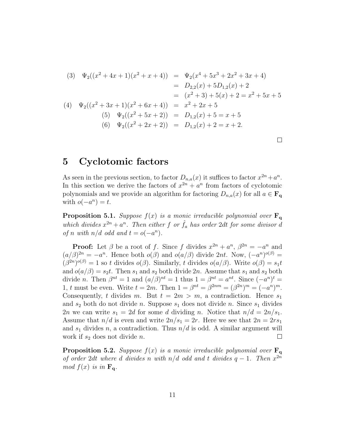(3) 
$$
\Psi_2((x^2 + 4x + 1)(x^2 + x + 4)) = \Psi_2(x^4 + 5x^3 + 2x^2 + 3x + 4)
$$
  
\n
$$
= D_{2,2}(x) + 5D_{1,2}(x) + 2
$$
  
\n
$$
= (x^2 + 3) + 5(x) + 2 = x^2 + 5x + 5
$$
  
\n(4) 
$$
\Psi_2((x^2 + 3x + 1)(x^2 + 6x + 4)) = x^2 + 2x + 5
$$
  
\n(5) 
$$
\Psi_2((x^2 + 5x + 2)) = D_{1,2}(x) + 5 = x + 5
$$
  
\n(6) 
$$
\Psi_2((x^2 + 2x + 2)) = D_{1,2}(x) + 2 = x + 2.
$$

#### 5 Cyclotomic factors

As seen in the previous section, to factor  $D_{n,a}(x)$  it suffices to factor  $x^{2n} + a^n$ . In this section we derive the factors of  $x^{2n} + a^n$  from factors of cyclotomic polynomials and we provide an algorithm for factoring  $D_{n,a}(x)$  for all  $a \in \mathbf{F}_q$ with  $o(-a^n) = t$ .

**Proposition 5.1.** Suppose  $f(x)$  is a monic irreducible polynomial over  $\mathbf{F}_{q}$ which divides  $x^{2n} + a^n$ . Then either f or  $\hat{f}_a$  has order 2dt for some divisor d of n with  $n/d$  odd and  $t = o(-a^n)$ .

**Proof:** Let  $\beta$  be a root of f. Since f divides  $x^{2n} + a^n$ ,  $\beta^{2n} = -a^n$  and  $(a/\beta)^{2n} = -a^n$ . Hence both  $o(\beta)$  and  $o(a/\beta)$  divide 2nt. Now,  $(-a^n)^{o(\beta)} =$  $(\beta^{2n})^{o(\beta)} = 1$  so t divides  $o(\beta)$ . Similarly, t divides  $o(a/\beta)$ . Write  $o(\beta) = s_1 t$ and  $o(a/\beta) = s_2t$ . Then  $s_1$  and  $s_2$  both divide  $2n$ . Assume that  $s_1$  and  $s_2$  both divide *n*. Then  $\beta^{nt} = 1$  and  $(a/\beta)^{nt} = 1$  thus  $1 = \beta^{nt} = a^{nt}$ . Since  $(-a^n)^t =$ 1, t must be even. Write  $t = 2m$ . Then  $1 = \beta^{nt} = \beta^{2nm} = (\beta^{2n})^m = (-a^n)^m$ . Consequently, t divides m. But  $t = 2m > m$ , a contradiction. Hence  $s_1$ and  $s_2$  both do not divide n. Suppose  $s_1$  does not divide n. Since  $s_1$  divides 2n we can write  $s_1 = 2d$  for some d dividing n. Notice that  $n/d = 2n/s_1$ . Assume that  $n/d$  is even and write  $2n/s_1 = 2r$ . Here we see that  $2n = 2rs_1$ and  $s_1$  divides n, a contradiction. Thus  $n/d$  is odd. A similar argument will work if  $s_2$  does not divide n.  $\Box$ 

**Proposition 5.2.** Suppose  $f(x)$  is a monic irreducible polynomial over  $\mathbf{F}_{q}$ of order 2dt where d divides n with n/d odd and t divides  $q-1$ . Then  $x^{2n}$ mod  $f(x)$  is in  $\mathbf{F}_{q}$ .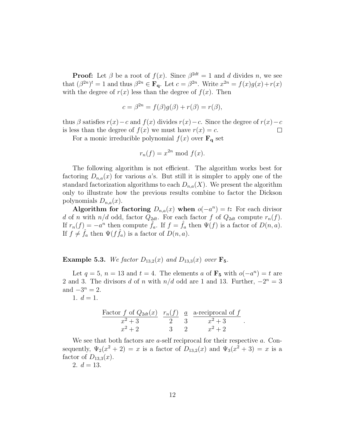**Proof:** Let  $\beta$  be a root of  $f(x)$ . Since  $\beta^{2dt} = 1$  and d divides n, we see that  $(\beta^{2n})^t = 1$  and thus  $\beta^{2n} \in \mathbf{F_q}$ . Let  $c = \beta^{2n}$ . Write  $x^{2n} = f(x)g(x) + r(x)$ with the degree of  $r(x)$  less than the degree of  $f(x)$ . Then

$$
c = \beta^{2n} = f(\beta)g(\beta) + r(\beta) = r(\beta),
$$

thus  $\beta$  satisfies  $r(x)-c$  and  $f(x)$  divides  $r(x)-c$ . Since the degree of  $r(x)-c$ is less than the degree of  $f(x)$  we must have  $r(x) = c$ .  $\Box$ 

For a monic irreducible polynomial  $f(x)$  over  $\mathbf{F}_{q}$  set

$$
r_n(f) = x^{2n} \bmod f(x).
$$

The following algorithm is not efficient. The algorithm works best for factoring  $D_{n,a}(x)$  for various a's. But still it is simpler to apply one of the standard factorization algorithms to each  $D_{n,a}(X)$ . We present the algorithm only to illustrate how the previous results combine to factor the Dickson polynomials  $D_{n,a}(x)$ .

Algorithm for factoring  $D_{n,a}(x)$  when  $o(-a^n) = t$ : For each divisor d of n with  $n/d$  odd, factor  $Q_{2dt}$ . For each factor f of  $Q_{2dt}$  compute  $r_n(f)$ . If  $r_n(f) = -a^n$  then compute  $\hat{f}_a$ . If  $f = \hat{f}_a$  then  $\Psi(f)$  is a factor of  $D(n, a)$ . If  $f \neq \hat{f}_a$  then  $\Psi(f\hat{f}_a)$  is a factor of  $D(n, a)$ .

**Example 5.3.** We factor  $D_{13,2}(x)$  and  $D_{13,3}(x)$  over  $\mathbf{F}_5$ .

Let  $q = 5$ ,  $n = 13$  and  $t = 4$ . The elements a of  $\mathbf{F}_5$  with  $o(-a^n) = t$  are 2 and 3. The divisors d of n with  $n/d$  odd are 1 and 13. Further,  $-2^n = 3$ and  $-3^n = 2$ .

1.  $d = 1$ .

$$
\frac{\text{Factor } f \text{ of } Q_{2dt}(x)}{x^2 + 3} \quad \frac{r_n(f)}{2} \quad \frac{a}{3} \quad \frac{\text{a-reciprocal of } f}{x^2 + 3}
$$
\n
$$
x^2 + 2 \qquad \qquad 3 \qquad 2 \qquad \qquad x^2 + 2
$$

.

We see that both factors are *a*-self reciprocal for their respective *a*. Consequently,  $\Psi_2(x^2+2) = x$  is a factor of  $D_{13,2}(x)$  and  $\Psi_3(x^2+3) = x$  is a factor of  $D_{13,3}(x)$ .

2.  $d = 13$ .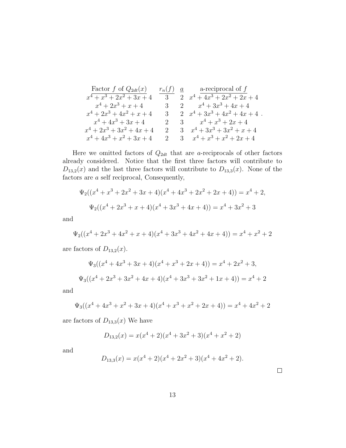Factor f of 
$$
Q_{2dt}(x)
$$
  
\n $x^4 + x^3 + 2x^2 + 3x + 4$   
\n $x^4 + 2x^3 + x + 4$   
\n $x^4 + 2x^3 + 4x^2 + x + 4$   
\n $x^4 + 2x^3 + 4x^2 + x + 4$   
\n $x^4 + 4x^3 + 3x + 4$   
\n $x^4 + 4x^3 + 3x + 4$   
\n $x^4 + 2x^3 + 3x^2 + 4x + 4$   
\n $x^4 + 2x^3 + 3x^2 + 4x + 4$   
\n $x^4 + 2x^3 + 3x^2 + 4x + 4$   
\n $x^4 + 2x^3 + 3x^2 + 4x + 4$   
\n $x^4 + 4x^3 + x^2 + 3x + 4$   
\n $x^4 + 4x^3 + x^2 + 3x + 4$   
\n $x^4 + 4x^3 + x^2 + 3x + 4$   
\n $x^4 + x^3 + x^2 + 2x + 4$ 

Here we omitted factors of  $Q_{2dt}$  that are *a*-reciprocals of other factors already considered. Notice that the first three factors will contribute to  $D_{13,2}(x)$  and the last three factors will contribute to  $D_{13,3}(x)$ . None of the factors are a self reciprocal, Consequently,

$$
\Psi_2((x^4 + x^3 + 2x^2 + 3x + 4)(x^4 + 4x^3 + 2x^2 + 2x + 4)) = x^4 + 2,
$$
  

$$
\Psi_2((x^4 + 2x^3 + x + 4)(x^4 + 3x^3 + 4x + 4)) = x^4 + 3x^2 + 3
$$

and

$$
\Psi_2((x^4 + 2x^3 + 4x^2 + x + 4)(x^4 + 3x^3 + 4x^2 + 4x + 4)) = x^4 + x^2 + 2
$$

are factors of  $D_{13,2}(x)$ .

$$
\Psi_3((x^4 + 4x^3 + 3x + 4)(x^4 + x^3 + 2x + 4)) = x^4 + 2x^2 + 3,
$$
  

$$
\Psi_3((x^4 + 2x^3 + 3x^2 + 4x + 4)(x^4 + 3x^3 + 3x^2 + 1x + 4)) = x^4 + 2
$$

and

$$
\Psi_3((x^4+4x^3+x^2+3x+4)(x^4+x^3+x^2+2x+4)) = x^4+4x^2+2
$$

are factors of  $D_{13,3}(x)$  We have

$$
D_{13,2}(x) = x(x^4 + 2)(x^4 + 3x^2 + 3)(x^4 + x^2 + 2)
$$

and

$$
D_{13,3}(x) = x(x^4 + 2)(x^4 + 2x^2 + 3)(x^4 + 4x^2 + 2).
$$

 $\Box$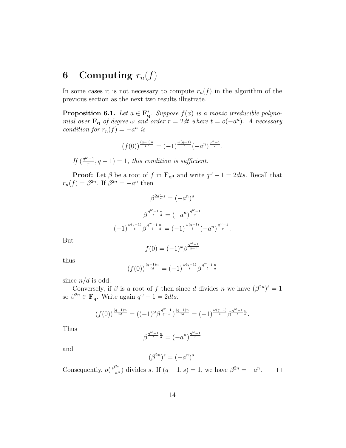## 6 Computing  $r_n(f)$

In some cases it is not necessary to compute  $r_n(f)$  in the algorithm of the previous section as the next two results illustrate.

**Proposition 6.1.** Let  $a \in \mathbf{F_q}^*$ . Suppose  $f(x)$  is a monic irreducible polynomial over  $\mathbf{F}_{q}$  of degree  $\omega$  and order  $r = 2dt$  where  $t = o(-a^{n})$ . A necessary condition for  $r_n(f) = -a^n$  is

$$
\left(f(0)\right)^{\frac{(q-1)n}{td}}=(-1)^{\frac{\omega(q-1)}{t}}\left(-a^n\right)^{\frac{q^{\omega}-1}{r}}.
$$

If  $\left(\frac{q^{\omega}-1}{r}\right)$  $\frac{(-1)}{r}, q-1$  = 1, this condition is sufficient.

**Proof:** Let  $\beta$  be a root of f in  $\mathbf{F}_{q^d}$  and write  $q^{\omega} - 1 = 2$ dts. Recall that  $r_n(f) = \beta^{2n}$ . If  $\beta^{2n} = -a^n$  then

$$
\beta^{2d\frac{n}{d}s} = (-a^n)^s
$$

$$
\beta^{\frac{q^{\omega}-1}{t}\frac{n}{d}} = (-a^n)^{\frac{q^{\omega}-1}{r}}
$$

$$
(-1)^{\frac{\omega(q-1)}{t}}\beta^{\frac{q^{\omega}-1}{t}\frac{n}{d}} = (-1)^{\frac{\omega(q-1)}{t}}(-a^n)^{\frac{q^{\omega}-1}{r}}.
$$

But

$$
f(0)=(-1)^\omega\beta^{\frac{q^\omega-1}{q-1}}
$$

thus

$$
(f(0))^{\frac{(q-1)n}{td}} = (-1)^{\frac{\omega(q-1)}{t}} \beta^{\frac{q^{\omega}-1}{t}\frac{n}{d}}
$$

since  $n/d$  is odd.

Conversely, if  $\beta$  is a root of f then since d divides n we have  $(\beta^{2n})^t = 1$ so  $\beta^{2n} \in \mathbf{F_q}$ . Write again  $q^{\omega} - 1 = 2$ dts.

$$
(f(0))^{\frac{(q-1)n}{td}} = ((-1)^{\omega} \beta^{\frac{q^{\omega}-1}{q-1}})^{\frac{(q-1)n}{td}} = (-1)^{\frac{\omega(q-1)}{t}} \beta^{\frac{q^{\omega}-1}{t}}^{\frac{n}{d}}.
$$

Thus

$$
\beta^{\frac{q^\omega-1}{t}\frac{n}{d}}=(-a^n)^{\frac{q^\omega-1}{r}}
$$

and

$$
(\beta^{2n})^s = (-a^n)^s.
$$

Consequently,  $o(\frac{\beta^{2n}}{-a^n})$  divides s. If  $(q-1, s) = 1$ , we have  $\beta^{2n} = -a^n$ .  $\Box$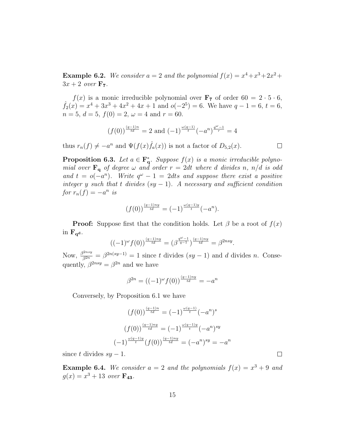**Example 6.2.** We consider  $a = 2$  and the polynomial  $f(x) = x^4 + x^3 + 2x^2 +$  $3x + 2$  over  $\mathbf{F}_7$ .

 $f(x)$  is a monic irreducible polynomial over  $\mathbf{F}_7$  of order  $60 = 2 \cdot 5 \cdot 6$ ,  $\hat{f}_2(x) = x^4 + 3x^3 + 4x^2 + 4x + 1$  and  $o(-2^5) = 6$ . We have  $q - 1 = 6$ ,  $t = 6$ ,  $n = 5, d = 5, f(0) = 2, \omega = 4 \text{ and } r = 60.$ 

$$
(f(0))^{\frac{(q-1)n}{td}} = 2
$$
 and  $(-1)^{\frac{\omega(q-1)}{t}}(-a^n)^{\frac{q^{\omega}-1}{r}} = 4$ 

thus  $r_n(f) \neq -a^n$  and  $\Psi(f(x)\hat{f}_n(x))$  is not a factor of  $D_{5,2}(x)$ .

**Proposition 6.3.** Let  $a \in \mathbf{F_q}^*$ . Suppose  $f(x)$  is a monic irreducible polynomial over  $\mathbf{F}_{q}$  of degree  $\omega$  and order  $r = 2dt$  where d divides n, n/d is odd and  $t = o(-a^n)$ . Write  $q^{\omega} - 1 = 2$ dts and suppose there exist a positive integer y such that t divides  $(sy - 1)$ . A necessary and sufficient condition for  $r_n(f) = -a^n$  is

$$
(f(0))^{\frac{(q-1)ny}{td}} = (-1)^{\frac{\omega(q-1)y}{t}}(-a^n).
$$

**Proof:** Suppose first that the condition holds. Let  $\beta$  be a root of  $f(x)$ in  $\mathbf{F}_{\mathbf{q}^{\mathbf{d}}}$ .

$$
((-1)^{\omega} f(0))^{\frac{(q-1)ny}{td}} = (\beta^{\frac{q^{\omega}-1}{q-1}})^{\frac{(q-1)ny}{td}} = \beta^{2nsy}.
$$

Now,  $\frac{\beta^{2nsy}}{\beta^{2n}} = \beta^{2n(sy-1)} = 1$  since t divides  $(sy-1)$  and d divides n. Consequently,  $\beta^{2nsy} = \beta^{2n}$  and we have

$$
\beta^{2n} = ((-1)^{\omega} f(0))^{\frac{(q-1)ny}{td}} = -a^n
$$

Conversely, by Proposition 6.1 we have

$$
(f(0))^{\frac{(q-1)n}{td}} = (-1)^{\frac{\omega(q-1)}{t}} (-a^n)^s
$$

$$
(f(0))^{\frac{(q-1)ny}{td}} = (-1)^{\frac{\omega(q-1)y}{t}} (-a^n)^{sy}
$$

$$
(-1)^{\frac{\omega(q-1)y}{t}} (f(0))^{\frac{(q-1)ny}{td}} = (-a^n)^{sy} = -a^n
$$

since t divides  $sy - 1$ .

**Example 6.4.** We consider  $a = 2$  and the polynomials  $f(x) = x^3 + 9$  and  $g(x) = x^3 + 13 \text{ over } \mathbf{F_{43}}.$ 

 $\Box$ 

 $\Box$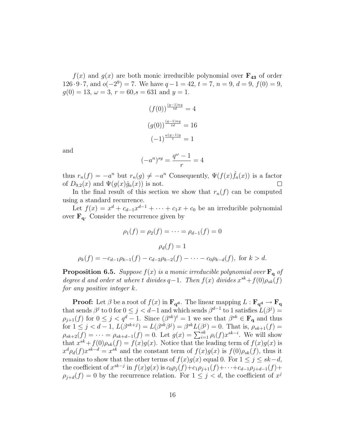$f(x)$  and  $g(x)$  are both monic irreducible polynomial over  $\mathbf{F}_{43}$  of order  $126 \cdot 9 \cdot 7$ , and  $o(-2^9) = 7$ . We have  $q - 1 = 42$ ,  $t = 7$ ,  $n = 9$ ,  $d = 9$ ,  $f(0) = 9$ ,  $g(0) = 13, \omega = 3, r = 60, s = 631 \text{ and } y = 1.$ 

$$
(f(0))^{\frac{(q-1)ny}{td}} = 4
$$

$$
(g(0))^{\frac{(q-1)ny}{td}} = 16
$$

$$
(-1)^{\frac{\omega(q-1)y}{t}} = 1
$$

and

$$
(-a^n)^{sy} = \frac{q^{\omega} - 1}{r} = 4
$$

thus  $r_n(f) = -a^n$  but  $r_n(g) \neq -a^n$  Consequently,  $\Psi(f(x)\hat{f}_a(x))$  is a factor of  $D_{9,2}(x)$  and  $\Psi(g(x)\hat{g}_a(x))$  is not.  $\Box$ 

In the final result of this section we show that  $r_n(f)$  can be computed using a standard recurrence.

Let  $f(x) = x^d + c_{d-1}x^{d-1} + \cdots + c_1x + c_0$  be an irreducible polynomial over  $\mathbf{F}_{q}$ . Consider the recurrence given by

$$
\rho_1(f) = \rho_2(f) = \dots = \rho_{d-1}(f) = 0
$$

$$
\rho_d(f) = 1
$$

$$
\rho_k(f) = -c_{d-1}\rho_{k-1}(f) - c_{d-2}\rho_{k-2}(f) - \dots - c_0\rho_{k-d}(f), \text{ for } k > d.
$$

**Proposition 6.5.** Suppose  $f(x)$  is a monic irreducible polynomial over  $\mathbf{F}_{q}$  of degree d and order st where t divides  $q-1$ . Then  $f(x)$  divides  $x^{sk}+f(0)\rho_{sk}(f)$ for any positive integer k.

**Proof:** Let  $\beta$  be a root of  $f(x)$  in  $\mathbf{F}_{q^d}$ . The linear mapping  $L : \mathbf{F}_{q^d} \to \mathbf{F}_{q}$ that sends  $\beta^j$  to 0 for  $0 \leq j < d-1$  and which sends  $\beta^{d-1}$  to 1 satisfies  $L(\beta^j)$  =  $\rho_{j+1}(f)$  for  $0 \leq j < q^d - 1$ . Since  $(\beta^{sk})^t = 1$  we see that  $\beta^{sk} \in \mathbf{F_q}$  and thus for  $1 \le j < d-1$ ,  $L(\beta^{sk+j}) = L(\beta^{sk}\beta^j) = \beta^{sk}L(\beta^j) = 0$ . That is,  $\rho_{sk+1}(f) = \rho_{sk+2}(f) = \cdots = \rho_{sk+d-1}(f) = 0$ . Let  $g(x) = \sum_{i=1}^{sk} \rho_i(f)x^{sk-i}$ . We will show that  $x^{sk} + f(0)\rho_{sk}(f) = f(x)g(x)$ . Notice that the leading term of  $f(x)g(x)$  is  $x^d \rho_d(f) x^{sk-d} = x^{sk}$  and the constant term of  $f(x)g(x)$  is  $f(0)\rho_{sk}(f)$ , thus it remains to show that the other terms of  $f(x)g(x)$  equal 0. For  $1 \leq j \leq sk-d$ , the coefficient of  $x^{sk-j}$  in  $f(x)g(x)$  is  $c_0\rho_j(f)+c_1\rho_{j+1}(f)+\cdots+c_{d-1}\rho_{j+d-1}(f)+$  $\rho_{j+d}(f) = 0$  by the recurrence relation. For  $1 \leq j \leq d$ , the coefficient of  $x^j$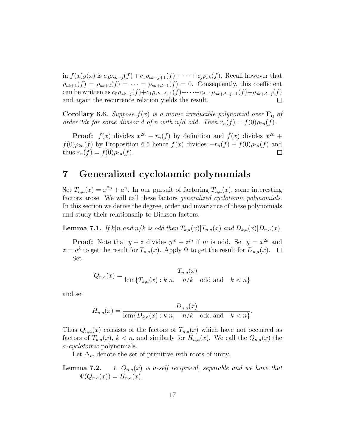in  $f(x)g(x)$  is  $c_0 \rho_{sk-j}(f) + c_1 \rho_{sk-j+1}(f) + \cdots + c_j \rho_{sk}(f)$ . Recall however that  $\rho_{sk+1}(f) = \rho_{sk+2}(f) = \cdots = \rho_{sk+d-1}(f) = 0$ . Consequently, this coefficient can be written as  $c_0 \rho_{sk-j}(f) + c_1 \rho_{sk-j+1}(f) + \cdots + c_{d-1} \rho_{sk+d-j-1}(f) + \rho_{sk+d-j}(f)$ and again the recurrence relation yields the result.

**Corollary 6.6.** Suppose  $f(x)$  is a monic irreducible polynomial over  $\mathbf{F}_q$  of order 2dt for some divisor d of n with  $n/d$  odd. Then  $r_n(f) = f(0)\rho_{2n}(f)$ .

**Proof:**  $f(x)$  divides  $x^{2n} - r_n(f)$  by definition and  $f(x)$  divides  $x^{2n} +$  $f(0)\rho_{2n}(f)$  by Proposition 6.5 hence  $f(x)$  divides  $-r_n(f) + f(0)\rho_{2n}(f)$  and thus  $r_n(f) = f(0)\rho_{2n}(f)$ .  $\Box$ 

#### 7 Generalized cyclotomic polynomials

Set  $T_{n,a}(x) = x^{2n} + a^n$ . In our pursuit of factoring  $T_{n,a}(x)$ , some interesting factors arose. We will call these factors generalized cyclotomic polynomials. In this section we derive the degree, order and invariance of these polynomials and study their relationship to Dickson factors.

**Lemma 7.1.** If  $k|n$  and  $n/k$  is odd then  $T_{k,a}(x)|T_{n,a}(x)$  and  $D_{k,a}(x)|D_{n,a}(x)$ .

**Proof:** Note that  $y + z$  divides  $y^m + z^m$  if m is odd. Set  $y = x^{2k}$  and  $z = a^k$  to get the result for  $T_{n,a}(x)$ . Apply  $\Psi$  to get the result for  $D_{n,a}(x)$ . Set

$$
Q_{n,a}(x) = \frac{T_{n,a}(x)}{\text{lcm}\{T_{k,a}(x) : k|n, \quad n/k \quad \text{odd and} \quad k < n\}}
$$

and set

$$
H_{n,a}(x) = \frac{D_{n,a}(x)}{\operatorname{lcm}\{D_{k,a}(x) : k|n, \quad n/k \quad \text{odd and} \quad k < n\}}.
$$

Thus  $Q_{n,a}(x)$  consists of the factors of  $T_{n,a}(x)$  which have not occurred as factors of  $T_{k,a}(x)$ ,  $k < n$ , and similarly for  $H_{n,a}(x)$ . We call the  $Q_{n,a}(x)$  the a-cyclotomic polynomials.

Let  $\Delta_m$  denote the set of primitive mth roots of unity.

**Lemma 7.2.** 1.  $Q_{n,a}(x)$  is a-self reciprocal, separable and we have that  $\Psi(Q_{n,a}(x))=H_{n,a}(x).$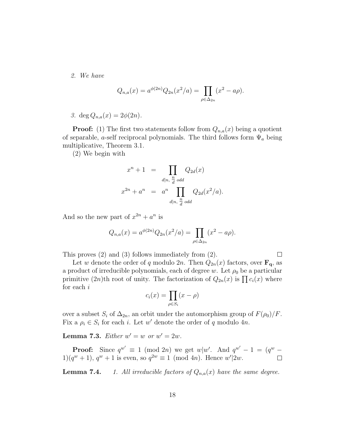2. We have

$$
Q_{n,a}(x) = a^{\phi(2n)} Q_{2n}(x^2/a) = \prod_{\rho \in \Delta_{2n}} (x^2 - a\rho).
$$

3. deg  $Q_{n,a}(x) = 2\phi(2n)$ .

**Proof:** (1) The first two statements follow from  $Q_{n,a}(x)$  being a quotient of separable, a-self reciprocal polynomials. The third follows form  $\Psi_a$  being multiplicative, Theorem 3.1.

(2) We begin with

$$
x^{n} + 1 = \prod_{d|n, \frac{n}{d} \text{ odd}} Q_{2d}(x)
$$

$$
x^{2n} + a^{n} = a^{n} \prod_{d|n, \frac{n}{d} \text{ odd}} Q_{2d}(x^{2}/a).
$$

And so the new part of  $x^{2n} + a^n$  is

$$
Q_{n,a}(x) = a^{\phi(2n)} Q_{2n}(x^2/a) = \prod_{\rho \in \Delta_{2n}} (x^2 - a\rho).
$$

This proves (2) and (3) follows immediately from (2).

 $\Box$ Let w denote the order of q modulo 2n. Then  $Q_{2n}(x)$  factors, over  $\mathbf{F}_{q}$ , as a product of irreducible polynomials, each of degree w. Let  $\rho_0$  be a particular a product of irreducible polynomials, each of degree w. Let  $\rho_0$  be a particular<br>primitive  $(2n)$ th root of unity. The factorization of  $Q_{2n}(x)$  is  $\prod c_i(x)$  where for each i

$$
c_i(x) = \prod_{\rho \in S_i} (x - \rho)
$$

over a subset  $S_i$  of  $\Delta_{2n}$ , an orbit under the automorphism group of  $F(\rho_0)/F$ . Fix a  $\rho_i \in S_i$  for each *i*. Let w' denote the order of q modulo 4n.

Lemma 7.3. Either  $w' = w$  or  $w' = 2w$ .

**Proof:** Since  $q^{w'} \equiv 1 \pmod{2n}$  we get  $w|w'$ . And  $q^{w'} - 1 = (q^w 1(q^w + 1), q^w + 1$  is even, so  $q^{2w} \equiv 1 \pmod{4n}$ . Hence  $w'|2w$ .

**Lemma 7.4.** 1. All irreducible factors of  $Q_{n,a}(x)$  have the same degree.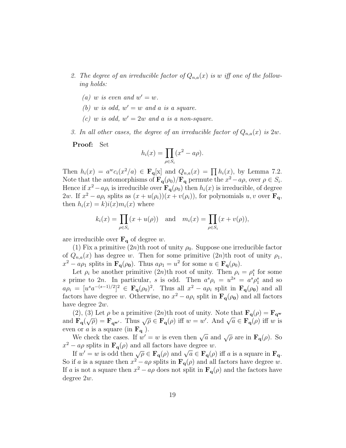- 2. The degree of an irreducible factor of  $Q_{n,a}(x)$  is w iff one of the following holds:
	- (a) w is even and  $w' = w$ .
	- (b) w is odd,  $w' = w$  and a is a square.
	- (c) w is odd,  $w' = 2w$  and a is a non-square.
- 3. In all other cases, the degree of an irreducible factor of  $Q_{n,a}(x)$  is  $2w$ .

Proof: Set

$$
h_i(x) = \prod_{\rho \in S_i} (x^2 - a\rho).
$$

Then  $h_i(x) = a^w c_i(x^2/a) \in \mathbf{F}_q[x]$  and  $Q_{n,a}(x) = \prod_i h_i(x)$ , by Lemma 7.2. Note that the automorphisms of  $\mathbf{F}_{q}(\rho_0)/\mathbf{F}_{q}$  permute the  $x^2 - a\rho$ , over  $\rho \in S_i$ . Hence if  $x^2 - a\rho_i$  is irreducible over  $\mathbf{F}_q(\rho_0)$  then  $h_i(x)$  is irreducible, of degree 2w. If  $x^2 - a\rho_i$  splits as  $(x + u(\rho_i))(x + v(\rho_i))$ , for polynomials  $u, v$  over  $\mathbf{F}_q$ , then  $h_i(x) = k[i(x)m_i(x)]$  where

$$
k_i(x) = \prod_{\rho \in S_i} (x + u(\rho)) \quad \text{and} \quad m_i(x) = \prod_{\rho \in S_i} (x + v(\rho)),
$$

are irreducible over  $\mathbf{F}_{q}$  of degree w.

(1) Fix a primitive  $(2n)$ th root of unity  $\rho_0$ . Suppose one irreducible factor of  $Q_{n,a}(x)$  has degree w. Then for some primitive  $(2n)$ th root of unity  $\rho_1$ ,  $x^2 - a\rho_1$  splits in  $\mathbf{F}_q(\rho_0)$ . Thus  $a\rho_1 = u^2$  for some  $u \in \mathbf{F}_q(\rho_0)$ .

Let  $\rho_i$  be another primitive  $(2n)$ th root of unity. Then  $\rho_i = \rho_1^s$  for some s prime to 2n. In particular, s is odd. Then  $a^s \rho_i = u^{2s} = a^s \rho_1^s$  and so  $a\rho_i = [u^s a^{-(s-1)/2}]^2 \in \mathbf{F}_q(\rho_0)^2$ . Thus all  $x^2 - a\rho_i$  split in  $\mathbf{F}_q(\rho_0)$  and all factors have degree w. Otherwise, no  $x^2 - a\rho_i$  split in  $\mathbf{F}_q(\rho_0)$  and all factors have degree 2w.

(2), (3) Let  $\rho$  be a primitive  $(2n)$ th root of unity. Note that  $\mathbf{F}_{q}(\rho) = \mathbf{F}_{q^{\mathbf{w}}}$ (2), (5) Let  $\rho$  be a primitive (2h)th root of unity. Note that  $\mathbf{F}_{\mathbf{q}}(\rho) = \mathbf{F}_{\mathbf{q}^{\mathbf{w}'}}$ <br>and  $\mathbf{F}_{\mathbf{q}}(\sqrt{\rho}) = \mathbf{F}_{\mathbf{q}^{\mathbf{w}'}}$ . Thus  $\sqrt{\rho} \in \mathbf{F}_{\mathbf{q}}(\rho)$  iff  $w = w'$ . And  $\sqrt{a} \in \mathbf{F}_{\mathbf{q}}(\rho)$  even or a is a square (in  $\mathbf{F}_{q}$ ).

where the cases. If  $w' = w$  is even then  $\sqrt{a}$  and  $\sqrt{\rho}$  are in  $\mathbf{F}_{q}(\rho)$ . So  $x^2 - a\rho$  splits in  $\mathbf{F}_q(\rho)$  and all factors have degree w.

 $I = a\rho$  spins in  $\mathbf{r}_{q}(\rho)$  and an iactors nave degree w.<br>If  $w' = w$  is odd then  $\sqrt{\rho} \in \mathbf{F}_{q}(\rho)$  and  $\sqrt{a} \in \mathbf{F}_{q}(\rho)$  iff a is a square in  $\mathbf{F}_{q}$ . So if a is a square then  $x^2 - a\rho$  splits in  $\mathbf{F}_q(\rho)$  and all factors have degree w. If a is not a square then  $x^2 - a\rho$  does not split in  $\mathbf{F}_q(\rho)$  and the factors have degree 2w.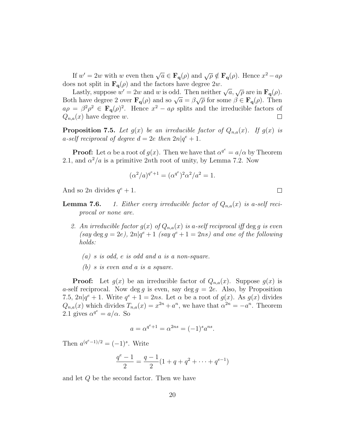If  $w' = 2w$  with w even then  $\sqrt{a} \in \mathbf{F}_{q}(\rho)$  and  $\sqrt{\rho} \notin \mathbf{F}_{q}(\rho)$ . Hence  $x^{2} - a\rho$ does not split in  $\mathbf{F}_{q}(\rho)$  and the factors have degree  $2w$ .

s not spin in  $\mathbf{r}_{\mathbf{q}}(\rho)$  and the factors have degree  $zw$ .<br>Lastly, suppose  $w'=2w$  and w is odd. Then neither  $\sqrt{a}, \sqrt{\rho}$  are in  $\mathbf{F}_{\mathbf{q}}(\rho)$ . Lastly, suppose  $w = zw$  and w is odd. Then hence  $\sqrt{a}$ ,  $\sqrt{\rho}$  are in  $\mathbf{F}_{\mathbf{q}}(\rho)$ .<br>Both have degree 2 over  $\mathbf{F}_{\mathbf{q}}(\rho)$  and so  $\sqrt{a} = \beta \sqrt{\rho}$  for some  $\beta \in \mathbf{F}_{\mathbf{q}}(\rho)$ . Then  $a\rho = \beta^2 \rho^2 \in \mathbf{F}_q(\rho)^2$ . Hence  $x^2 - a\rho$  splits and the irreducible factors of  $Q_{n,a}(x)$  have degree w.  $\Box$ 

**Proposition 7.5.** Let  $g(x)$  be an irreducible factor of  $Q_{n,a}(x)$ . If  $g(x)$  is a-self reciprocal of degree  $d = 2e$  then  $2n|q^e + 1$ .

**Proof:** Let  $\alpha$  be a root of  $g(x)$ . Then we have that  $\alpha^{q^e} = a/\alpha$  by Theorem 2.1, and  $\alpha^2/a$  is a primitive 2nth root of unity, by Lemma 7.2. Now

$$
(\alpha^2/a)^{q^e+1} = (\alpha^{q^e})^2 \alpha^2 / a^2 = 1.
$$

And so  $2n$  divides  $q^e + 1$ .

**Lemma 7.6.** 1. Either every irreducible factor of  $Q_{n,a}(x)$  is a-self reciprocal or none are.

- 2. An irreducible factor  $g(x)$  of  $Q_{n,a}(x)$  is a-self reciprocal iff deg g is even (say deg  $q = 2e$ ),  $2n|q^e + 1$  (say  $q^e + 1 = 2ns$ ) and one of the following holds:
	- (a) s is odd, e is odd and a is a non-square.
	- (b) s is even and a is a square.

**Proof:** Let  $g(x)$  be an irreducible factor of  $Q_{n,a}(x)$ . Suppose  $g(x)$  is a-self reciprocal. Now deg g is even, say deg  $g = 2e$ . Also, by Proposition 7.5,  $2n|q^e + 1$ . Write  $q^e + 1 = 2ns$ . Let  $\alpha$  be a root of  $g(x)$ . As  $g(x)$  divides  $Q_{n,a}(x)$  which divides  $T_{n,a}(x) = x^{2n} + a^n$ , we have that  $\alpha^{2n} = -a^n$ . Theorem 2.1 gives  $\alpha^{q^e} = a/\alpha$ . So

$$
a = \alpha^{q^e + 1} = \alpha^{2ns} = (-1)^s a^{ns}.
$$

Then  $a^{(q^e-1)/2} = (-1)^s$ . Write

$$
\frac{q^{e}-1}{2} = \frac{q-1}{2}(1+q+q^{2}+\cdots+q^{e-1})
$$

and let Q be the second factor. Then we have

 $\Box$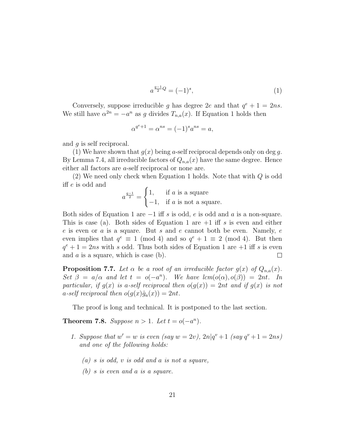$$
a^{\frac{q-1}{2}Q} = (-1)^s,\tag{1}
$$

Conversely, suppose irreducible g has degree 2e and that  $q^e + 1 = 2ns$ . We still have  $\alpha^{2n} = -a^n$  as g divides  $T_{n,a}(x)$ . If Equation 1 holds then

$$
\alpha^{q^e+1} = \alpha^{ns} = (-1)^s a^{ns} = a,
$$

and g is self reciprocal.

(1) We have shown that  $g(x)$  being a-self reciprocal depends only on deg g. By Lemma 7.4, all irreducible factors of  $Q_{n,a}(x)$  have the same degree. Hence either all factors are a-self reciprocal or none are.

(2) We need only check when Equation 1 holds. Note that with  $Q$  is odd iff e is odd and  $\overline{a}$ 

$$
a^{\frac{q-1}{2}} = \begin{cases} 1, & \text{if } a \text{ is a square} \\ -1, & \text{if } a \text{ is not a square.} \end{cases}
$$

Both sides of Equation 1 are  $-1$  iff s is odd, e is odd and a is a non-square. This is case (a). Both sides of Equation 1 are  $+1$  iff s is even and either e is even or a is a square. But s and e cannot both be even. Namely, e even implies that  $q^e \equiv 1 \pmod{4}$  and so  $q^e + 1 \equiv 2 \pmod{4}$ . But then  $q^e + 1 = 2ns$  with s odd. Thus both sides of Equation 1 are  $+1$  iff s is even and  $a$  is a square, which is case (b).  $\Box$ 

**Proposition 7.7.** Let  $\alpha$  be a root of an irreducible factor  $g(x)$  of  $Q_{n,a}(x)$ . Set  $\beta = a/\alpha$  and let  $t = o(-a^n)$ . We have  $lcm(o(\alpha), o(\beta)) = 2nt$ . In particular, if  $g(x)$  is a-self reciprocal then  $o(g(x)) = 2nt$  and if  $g(x)$  is not a-self reciprocal then  $o(g(x)\hat{g}_a(x)) = 2nt$ .

The proof is long and technical. It is postponed to the last section.

Theorem 7.8. Suppose  $n > 1$ . Let  $t = o(-a^n)$ .

- 1. Suppose that  $w' = w$  is even (say  $w = 2v$ ),  $2n|q^v + 1$  (say  $q^v + 1 = 2ns$ ) and one of the following holds:
	- $(a)$  s is odd, v is odd and a is not a square,
	- (b) s is even and a is a square.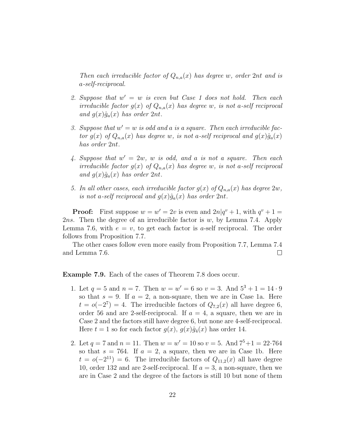Then each irreducible factor of  $Q_{n,a}(x)$  has degree w, order 2nt and is a-self-reciprocal.

- 2. Suppose that  $w' = w$  is even but Case 1 does not hold. Then each irreducible factor  $g(x)$  of  $Q_{n,a}(x)$  has degree w, is not a-self reciprocal and  $g(x)\hat{g}_a(x)$  has order  $2nt$ .
- 3. Suppose that  $w' = w$  is odd and a is a square. Then each irreducible factor  $g(x)$  of  $Q_{n,a}(x)$  has degree w, is not a-self reciprocal and  $g(x)\hat{g}_a(x)$ has order 2nt.
- 4. Suppose that  $w' = 2w$ , w is odd, and a is not a square. Then each irreducible factor  $g(x)$  of  $Q_{n,a}(x)$  has degree w, is not a-self reciprocal and  $g(x)\hat{g}_a(x)$  has order  $2nt$ .
- 5. In all other cases, each irreducible factor  $g(x)$  of  $Q_{n,a}(x)$  has degree  $2w$ , is not a-self reciprocal and  $g(x)\hat{g}_a(x)$  has order  $2nt$ .

**Proof:** First suppose  $w = w' = 2v$  is even and  $2n|q^v + 1$ , with  $q^v + 1 =$ 2ns. Then the degree of an irreducible factor is  $w$ , by Lemma 7.4. Apply Lemma 7.6, with  $e = v$ , to get each factor is a-self reciprocal. The order follows from Proposition 7.7.

The other cases follow even more easily from Proposition 7.7, Lemma 7.4 and Lemma 7.6.  $\Box$ 

Example 7.9. Each of the cases of Theorem 7.8 does occur.

- 1. Let  $q = 5$  and  $n = 7$ . Then  $w = w' = 6$  so  $v = 3$ . And  $5^3 + 1 = 14 \cdot 9$ so that  $s = 9$ . If  $a = 2$ , a non-square, then we are in Case 1a. Here  $t = o(-2^7) = 4$ . The irreducible factors of  $Q_{7,2}(x)$  all have degree 6, order 56 and are 2-self-reciprocal. If  $a = 4$ , a square, then we are in Case 2 and the factors still have degree 6, but none are 4-self-reciprocal. Here  $t = 1$  so for each factor  $g(x)$ ,  $g(x)\hat{g}_4(x)$  has order 14.
- 2. Let  $q = 7$  and  $n = 11$ . Then  $w = w' = 10$  so  $v = 5$ . And  $7^5 + 1 = 22.764$ so that  $s = 764$ . If  $a = 2$ , a square, then we are in Case 1b. Here  $t = o(-2^{11}) = 6$ . The irreducible factors of  $Q_{11,2}(x)$  all have degree 10, order 132 and are 2-self-reciprocal. If  $a = 3$ , a non-square, then we are in Case 2 and the degree of the factors is still 10 but none of them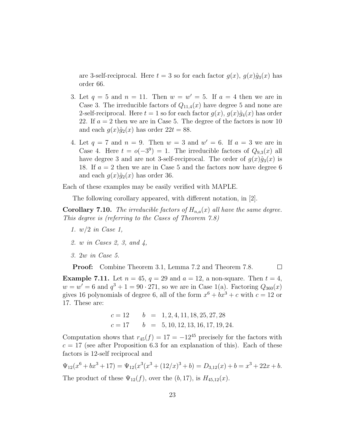are 3-self-reciprocal. Here  $t = 3$  so for each factor  $g(x)$ ,  $g(x)\hat{g}_3(x)$  has order 66.

- 3. Let  $q = 5$  and  $n = 11$ . Then  $w = w' = 5$ . If  $a = 4$  then we are in Case 3. The irreducible factors of  $Q_{11,4}(x)$  have degree 5 and none are 2-self-reciprocal. Here  $t = 1$  so for each factor  $g(x)$ ,  $g(x)\hat{g}_4(x)$  has order 22. If  $a = 2$  then we are in Case 5. The degree of the factors is now 10 and each  $g(x)\hat{g}_2(x)$  has order  $22t = 88$ .
- 4. Let  $q = 7$  and  $n = 9$ . Then  $w = 3$  and  $w' = 6$ . If  $a = 3$  we are in Case 4. Here  $t = o(-3^9) = 1$ . The irreducible factors of  $Q_{9,3}(x)$  all have degree 3 and are not 3-self-reciprocal. The order of  $g(x)\hat{g}_3(x)$  is 18. If  $a = 2$  then we are in Case 5 and the factors now have degree 6 and each  $q(x)\hat{q}_2(x)$  has order 36.

Each of these examples may be easily verified with MAPLE.

The following corollary appeared, with different notation, in [2].

**Corollary 7.10.** The irreducible factors of  $H_{n,a}(x)$  all have the same degree. This degree is (referring to the Cases of Theorem 7.8)

- 1. w/2 in Case 1,
- 2. w in Cases 2, 3, and 4,
- 3. 2w in Case 5.

Proof: Combine Theorem 3.1, Lemma 7.2 and Theorem 7.8.  $\Box$ 

**Example 7.11.** Let  $n = 45$ ,  $q = 29$  and  $q = 12$ , a non-square. Then  $t = 4$ ,  $w = w' = 6$  and  $q^3 + 1 = 90 \cdot 271$ , so we are in Case 1(a). Factoring  $Q_{360}(x)$ gives 16 polynomials of degree 6, all of the form  $x^6 + bx^3 + c$  with  $c = 12$  or 17. These are:

$$
c = 12 \qquad b = 1, 2, 4, 11, 18, 25, 27, 28
$$
  

$$
c = 17 \qquad b = 5, 10, 12, 13, 16, 17, 19, 24.
$$

Computation shows that  $r_{45}(f) = 17 = -12^{45}$  precisely for the factors with  $c = 17$  (see after Proposition 6.3 for an explanation of this). Each of these factors is 12-self reciprocal and

 $\Psi_{12}(x^6 + bx^3 + 17) = \Psi_{12}(x^3(x^3 + (12/x)^3 + b) = D_{3,12}(x) + b = x^3 + 22x + b.$ The product of these  $\Psi_{12}(f)$ , over the  $(b, 17)$ , is  $H_{45,12}(x)$ .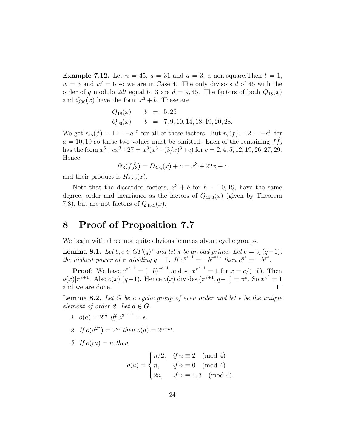**Example 7.12.** Let  $n = 45$ ,  $q = 31$  and  $q = 3$ , a non-square. Then  $t = 1$ ,  $w = 3$  and  $w' = 6$  so we are in Case 4. The only divisors d of 45 with the order of q modulo 2dt equal to 3 are  $d = 9, 45$ . The factors of both  $Q_{18}(x)$ and  $Q_{90}(x)$  have the form  $x^3 + b$ . These are

$$
Q_{18}(x)
$$
  $b = 5,25$   
\n $Q_{90}(x)$   $b = 7,9,10,14,18,19,20,28.$ 

We get  $r_{45}(f) = 1 = -a^{45}$  for all of these factors. But  $r_9(f) = 2 = -a^9$  for  $a = 10, 19$  so these two values must be omitted. Each of the remaining  $f\hat{f}_3$ has the form  $x^6 + cx^3 + 27 = x^3(x^3 + (3/x)^3 + c)$  for  $c = 2, 4, 5, 12, 19, 26, 27, 29$ . Hence

$$
\Psi_3(f\hat{f}_3) = D_{3,3}(x) + c = x^3 + 22x + c
$$

and their product is  $H_{45,3}(x)$ .

Note that the discarded factors,  $x^3 + b$  for  $b = 10, 19$ , have the same degree, order and invariance as the factors of  $Q_{45,3}(x)$  (given by Theorem 7.8), but are not factors of  $Q_{45,3}(x)$ .

### 8 Proof of Proposition 7.7

We begin with three not quite obvious lemmas about cyclic groups.

**Lemma 8.1.** Let  $b, c \in GF(q)^*$  and let  $\pi$  be an odd prime. Let  $e = v_{\pi}(q-1)$ , the highest power of  $\pi$  dividing  $q-1$ . If  $c^{\pi^{e+1}} = -b^{\pi^{e+1}}$  then  $c^{\pi^e} = -b^{\pi^e}$ .

**Proof:** We have  $c^{\pi^{e+1}} = (-b)^{\pi^{e+1}}$  and so  $x^{\pi^{e+1}} = 1$  for  $x = c/(-b)$ . Then  $o(x)|\pi^{e+1}$ . Also  $o(x)|(q-1)$ . Hence  $o(x)$  divides  $(\pi^{e+1}, q-1) = \pi^e$ . So  $x^{\pi^e} = 1$ and we are done.  $\Box$ 

**Lemma 8.2.** Let G be a cyclic group of even order and let  $\epsilon$  be the unique element of order 2. Let  $a \in G$ .

1. 
$$
o(a) = 2^m
$$
 iff  $a^{2^{m-1}} = \epsilon$ .

- 2. If  $o(a^{2^n}) = 2^m$  then  $o(a) = 2^{n+m}$ .
- 3. If  $o(\epsilon a) = n$  then

$$
o(a) = \begin{cases} n/2, & \text{if } n \equiv 2 \pmod{4} \\ n, & \text{if } n \equiv 0 \pmod{4} \\ 2n, & \text{if } n \equiv 1,3 \pmod{4}. \end{cases}
$$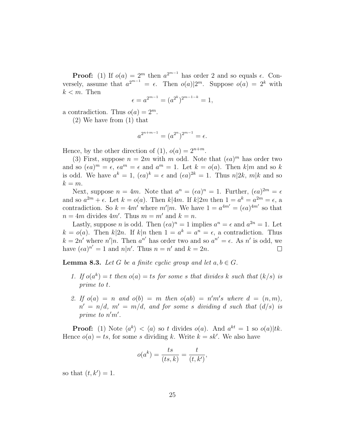**Proof:** (1) If  $o(a) = 2^m$  then  $a^{2^{m-1}}$  has order 2 and so equals  $\epsilon$ . Conversely, assume that  $a^{2^{m-1}} = \epsilon$ . Then  $o(a)|2^m$ . Suppose  $o(a) = 2^k$  with  $k < m$ . Then

$$
\epsilon = a^{2^{m-1}} = (a^{2^k})^{2^{m-1-k}} = 1,
$$

a contradiction. Thus  $o(a) = 2^m$ .

(2) We have from (1) that

$$
a^{2^{n+m-1}} = (a^{2^n})^{2^{m-1}} = \epsilon.
$$

Hence, by the other direction of (1),  $o(a) = 2^{n+m}$ .

(3) First, suppose  $n = 2m$  with m odd. Note that  $(\epsilon a)^m$  has order two and so  $(\epsilon a)^m = \epsilon$ ,  $\epsilon a^m = \epsilon$  and  $a^m = 1$ . Let  $k = o(a)$ . Then  $k|m$  and so k is odd. We have  $a^k = 1$ ,  $(\epsilon a)^k = \epsilon$  and  $(\epsilon a)^{2k} = 1$ . Thus  $n|2k$ ,  $m|k$  and so  $k = m$ .

Next, suppose  $n = 4m$ . Note that  $a^n = (\epsilon a)^n = 1$ . Further,  $(\epsilon a)^{2m} = \epsilon$ and so  $a^{2m} + \epsilon$ . Let  $k = o(a)$ . Then  $k \mid 4m$ . If  $k \mid 2m$  then  $1 = a^k = a^{2m} = \epsilon$ , a contradiction. So  $k = 4m'$  where  $m'|m$ . We have  $1 = a^{4m'} = (\epsilon a)^{4m'}$  so that  $n = 4m$  divides  $4m'$ . Thus  $m = m'$  and  $k = n$ .

Lastly, suppose *n* is odd. Then  $(\epsilon a)^n = 1$  implies  $a^n = \epsilon$  and  $a^{2n} = 1$ . Let  $k = o(a)$ . Then  $k|2n$ . If  $k|n$  then  $1 = a^k = a^n = \epsilon$ , a contradiction. Thus  $k = 2n'$  where  $n'|n$ . Then  $a^{n'}$  has order two and so  $a^{n'} = \epsilon$ . As n' is odd, we have  $(\epsilon a)^{n'} = 1$  and  $n|n'$ . Thus  $n = n'$  and  $k = 2n$ .  $\Box$ 

**Lemma 8.3.** Let G be a finite cyclic group and let  $a, b \in G$ .

- 1. If  $o(a^k) = t$  then  $o(a) = ts$  for some s that divides k such that  $(k/s)$  is prime to t.
- 2. If  $o(a) = n$  and  $o(b) = m$  then  $o(ab) = n'm's$  where  $d = (n, m)$ ,  $n' = n/d$ ,  $m' = m/d$ , and for some s dividing d such that  $(d/s)$  is prime to  $n'm'$ .

**Proof:** (1) Note  $\langle a^k \rangle < \langle a \rangle$  so t divides  $o(a)$ . And  $a^{kt} = 1$  so  $o(a)|tk$ . Hence  $o(a) = ts$ , for some s dividing k. Write  $k = sk'$ . We also have

$$
o(a^k) = \frac{ts}{(ts, k)} = \frac{t}{(t, k')},
$$

so that  $(t, k') = 1$ .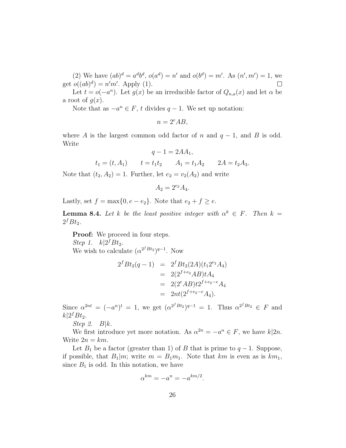(2) We have  $(ab)^d = a^d b^d$ ,  $o(a^d) = n'$  and  $o(b^d) = m'$ . As  $(n', m') = 1$ , we get  $o((ab)^d) = n'm'$ . Apply (1).  $\Box$ 

Let  $t = o(-a^n)$ . Let  $g(x)$  be an irreducible factor of  $Q_{n,a}(x)$  and let  $\alpha$  be a root of  $q(x)$ .

Note that as  $-a^n \in F$ , t divides  $q-1$ . We set up notation:

 $n = 2^e AB$ ,

where A is the largest common odd factor of n and  $q-1$ , and B is odd. Write

$$
q - 1 = 2AA_1,
$$

 $t_1 = (t, A_1)$   $t = t_1t_2$   $A_1 = t_1A_2$   $2A = t_2A_3.$ 

Note that  $(t_2, A_2) = 1$ . Further, let  $e_2 = v_2(A_2)$  and write

$$
A_2 = 2^{e_2} A_4.
$$

Lastly, set  $f = \max\{0, e - e_2\}$ . Note that  $e_2 + f \geq e$ .

**Lemma 8.4.** Let k be the least positive integer with  $\alpha^k \in F$ . Then  $k =$  $2^f B t_2$ .

Proof: We proceed in four steps.

Step 1.  $k|2^f B t_2$ . We wish to calculate  $(\alpha^{2^f B t_2})^{q-1}$ . Now

$$
2f B t2(q-1) = 2f B t2(2A)(t1 2e2 A4)= 2(2f+e2 A B)t A4= 2(2e A B)t 2f+e2-e A4= 2nt(2f+e2-e A4).
$$

Since  $\alpha^{2nt} = (-a^n)^t = 1$ , we get  $(\alpha^{2^f B t_2})^{q-1} = 1$ . Thus  $\alpha^{2^f B t_2} \in F$  and  $k|2<sup>f</sup>Bt<sub>2</sub>$ .

Step 2.  $B|k$ .

We first introduce yet more notation. As  $\alpha^{2n} = -a^n \in F$ , we have  $k|2n$ . Write  $2n = km$ .

Let  $B_1$  be a factor (greater than 1) of B that is prime to  $q-1$ . Suppose, if possible, that  $B_1|m$ ; write  $m = B_1m_1$ . Note that km is even as is  $km_1$ , since  $B_1$  is odd. In this notation, we have

$$
\alpha^{km} = -a^n = -a^{km/2}.
$$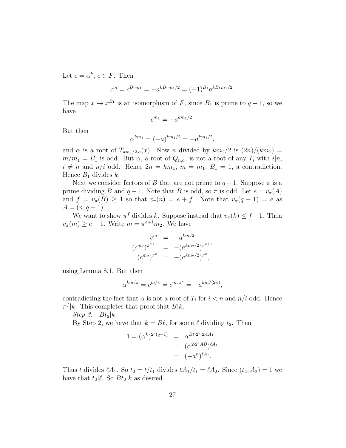Let  $c = \alpha^k$ ;  $c \in F$ . Then

$$
c^{m} = c^{B_1 m_1} = -a^{k B_1 m_1/2} = (-1)^{B_1} a^{k B_1 m_1/2}.
$$

The map  $x \mapsto x^{B_1}$  is an isomorphism of F, since  $B_1$  is prime to  $q-1$ , so we have

$$
c^{m_1} = -a^{km_1/2}.
$$

But then

$$
x^{km_1} = (-a)^{km_1/2} = -a^{km_1/2},
$$

α

and  $\alpha$  is a root of  $T_{km_1/2,a}(x)$ . Now n divided by  $km_1/2$  is  $(2n)/(km_1)$  =  $m/m_1 = B_1$  is odd. But  $\alpha$ , a root of  $Q_{n,a}$ , is not a root of any  $T_i$  with  $i|n$ ,  $i \neq n$  and  $n/i$  odd. Hence  $2n = km_1$ ,  $m = m_1$ ,  $B_1 = 1$ , a contradiction. Hence  $B_1$  divides k.

Next we consider factors of B that are not prime to  $q-1$ . Suppose  $\pi$  is a prime dividing B and  $q-1$ . Note that B is odd, so  $\pi$  is odd. Let  $e = v_{\pi}(A)$ and  $f = v_\pi(B) \ge 1$  so that  $v_\pi(n) = e + f$ . Note that  $v_\pi(q-1) = e$  as  $A = (n, q - 1).$ 

We want to show  $\pi^f$  divides k. Suppose instead that  $v_{\pi}(k) \leq f - 1$ . Then  $v_{\pi}(m) \ge e + 1$ . Write  $m = \pi^{e+1} m_2$ . We have

$$
c^{m} = -a^{km/2}
$$
  
\n
$$
(c^{m_2})^{\pi^{e+1}} = -(a^{km_2/2})^{\pi^{e+1}}
$$
  
\n
$$
(c^{m_2})^{\pi^e} = -(a^{km_2/2})^{\pi^e},
$$

using Lemma 8.1. But then

$$
\alpha^{km/\pi} = c^{m/\pi} = c^{m_2 \pi^e} = -a^{km/(2\pi)},
$$

contradicting the fact that  $\alpha$  is not a root of  $T_i$  for  $i < n$  and  $n/i$  odd. Hence  $\pi^f | k$ . This completes that proof that  $B | k$ .

Step 3.  $Bt_2|k$ .

By Step 2, we have that  $k = B\ell$ , for some  $\ell$  dividing  $t_2$ . Then

$$
1 = (\alpha^k)^{2^e(q-1)} = \alpha^{B\ell \cdot 2^e \cdot 2AA_1}
$$
  
=  $(\alpha^{2 \cdot 2^e AB})^{\ell A_1}$   
=  $(-a^n)^{\ell A_1}$ .

Thus t divides  $\ell A_1$ . So  $t_2 = t/t_1$  divides  $\ell A_1/t_1 = \ell A_2$ . Since  $(t_2, A_2) = 1$  we have that  $t_2|\ell$ . So  $Bt_2|k$  as desired.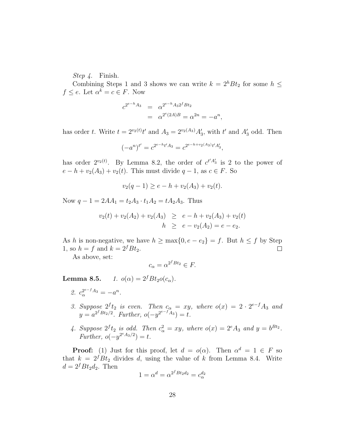Step 4. Finish.

Combining Steps 1 and 3 shows we can write  $k = 2^{h}Bt_2$  for some  $h \leq$  $f \leq e$ . Let  $\alpha^k = c \in F$ . Now

$$
c^{2^{e-h}A_3} = \alpha^{2^{e-h}A_3 2^f B t_2}
$$
  
=  $\alpha^{2^e(2A)B} = \alpha^{2n} = -a^n$ ,

has order t. Write  $t = 2^{v_2(t)}t'$  and  $A_3 = 2^{v_2(A_3)}A'_3$ , with  $t'$  and  $A'_3$  odd. Then

$$
(-a^n)^{t'} = c^{2^{e-h}t'A_3} = c^{2^{e-h+v_2(A_3)}t'A'_3},
$$

has order  $2^{v_2(t)}$ . By Lemma 8.2, the order of  $c^{t'A_3'}$  is 2 to the power of  $e - h + v_2(A_3) + v_2(t)$ . This must divide  $q - 1$ , as  $c \in F$ . So

$$
v_2(q-1) \ge e - h + v_2(A_3) + v_2(t).
$$

Now  $q - 1 = 2AA_1 = t_2A_3 \cdot t_1A_2 = tA_2A_3$ . Thus

$$
v_2(t) + v_2(A_2) + v_2(A_3) \ge e - h + v_2(A_3) + v_2(t)
$$
  

$$
h \ge e - v_2(A_2) = e - e_2.
$$

As h is non-negative, we have  $h \ge \max\{0, e - e_2\} = f$ . But  $h \le f$  by Step 1, so  $h = f$  and  $k = 2<sup>f</sup> B t<sub>2</sub>$ .  $\Box$ 

As above, set:

$$
c_{\alpha} = \alpha^{2^f B t_2} \in F.
$$

**Lemma 8.5.**  $1. \ o(\alpha) = 2^{f} B t_2 o(c_{\alpha}).$ 

- 2.  $c_{\alpha}^{2^{e-f}A_3} = -a^n$ .
- 3. Suppose  $2^f t_2$  is even. Then  $c_{\alpha} = xy$ , where  $o(x) = 2 \cdot 2^{e-f} A_3$  and  $y = a^{2^f B t_2/2}$ . Further,  $o(-y^{2^{e-f} A_3}) = t$ .
- 4. Suppose  $2^f t_2$  is odd. Then  $c^2_{\alpha} = xy$ , where  $o(x) = 2^e A_3$  and  $y = b^{Bt_2}$ . Further,  $o(-y^{2^e A_3/2}) = t$ .

**Proof:** (1) Just for this proof, let  $d = o(\alpha)$ . Then  $\alpha^d = 1 \in F$  so that  $k = 2<sup>f</sup>Bt<sub>2</sub>$  divides d, using the value of k from Lemma 8.4. Write  $d = 2<sup>f</sup> B t<sub>2</sub> d<sub>2</sub>$ . Then

$$
1 = \alpha^d = \alpha^{2^f B t_2 d_2} = c_\alpha^{d_2}
$$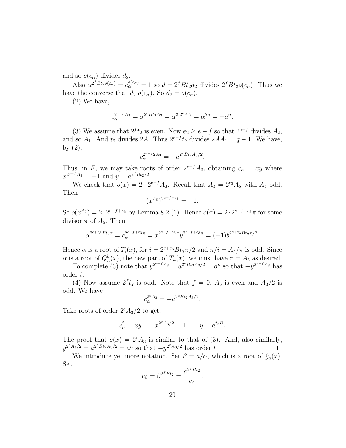and so  $o(c_{\alpha})$  divides  $d_2$ .

Also  $\alpha^{2^f B t_2 o(c_\alpha)} = c_\alpha^{o(c_\alpha)} = 1$  so  $d = 2^f B t_2 d_2$  divides  $2^f B t_2 o(c_\alpha)$ . Thus we have the converse that  $d_2|o(c_\alpha)$ . So  $d_2 = o(c_\alpha)$ .

(2) We have,

$$
c_{\alpha}^{2^{e-f}A_3} = \alpha^{2^e B t_2 A_3} = \alpha^{2 \cdot 2^e A B} = \alpha^{2n} = -a^n.
$$

(3) We assume that  $2^f t_2$  is even. Now  $e_2 \ge e - f$  so that  $2^{e-f}$  divides  $A_2$ , and so  $A_1$ . And  $t_2$  divides 2A. Thus  $2^{e-f}t_2$  divides  $2AA_1 = q - 1$ . We have, by  $(2)$ ,

$$
c_{\alpha}^{2^{e-f}2A_3} = -a^{2^e B t_2 A_3/2}
$$

.

Thus, in F, we may take roots of order  $2^{e-f}A_3$ , obtaining  $c_\alpha = xy$  where  $x^{2^{e-f}A_3} = -1$  and  $y = a^{2^f B t_2/2}$ .

We check that  $o(x) = 2 \cdot 2^{e-f} A_3$ . Recall that  $A_3 = 2^{e_3} A_5$  with  $A_5$  odd. Then

$$
(x^{A_5})^{2^{e-f+e_3}} = -1.
$$

So  $o(x^{A_5}) = 2 \cdot 2^{e-f+e_3}$  by Lemma 8.2 (1). Hence  $o(x) = 2 \cdot 2^{e-f+e_3}\pi$  for some divisor  $\pi$  of  $A_5$ . Then

$$
\alpha^{2^{e+e_3}Bt_2\pi} = c_{\alpha}^{2^{e-f+e_3}\pi} = x^{2^{e-f+e_3}\pi} y^{2^{e-f+e_3}\pi} = (-1)b^{2^{e+e_3}Bt_2\pi/2}.
$$

Hence  $\alpha$  is a root of  $T_i(x)$ , for  $i = 2^{e+e_3} B t_2 \pi/2$  and  $n/i = A_5/\pi$  is odd. Since  $\alpha$  is a root of  $Q_n^b(x)$ , the new part of  $T_n(x)$ , we must have  $\pi = A_5$  as desired.

To complete (3) note that  $y^{2^{e-f}A_3} = a^{2^e B t_2 A_3/2} = a^n$  so that  $-y^{2^{e-f}A_3}$  has order t.

(4) Now assume  $2^f t_2$  is odd. Note that  $f = 0$ ,  $A_3$  is even and  $A_3/2$  is odd. We have

$$
c_{\alpha}^{2^e A_3} = -a^{2^e B t_2 A_3/2}.
$$

Take roots of order  $2^eA_3/2$  to get:

$$
c_{\alpha}^{2} = xy
$$
  $x^{2^{e}A_{3}/2} = 1$   $y = a^{t_{2}B}$ .

The proof that  $o(x) = 2^e A_3$  is similar to that of (3). And, also similarly,  $y^{2^{e}A_3/2} = a^{2^{e}Bt_2A_3/2} = a^{n}$  so that  $-y^{2^{e}A_3/2}$  has order t  $\Box$ 

We introduce yet more notation. Set  $\beta = a/\alpha$ , which is a root of  $\hat{g}_a(x)$ . Set

$$
c_{\beta} = \beta^{2^f B t_2} = \frac{a^{2^f B t_2}}{c_{\alpha}}.
$$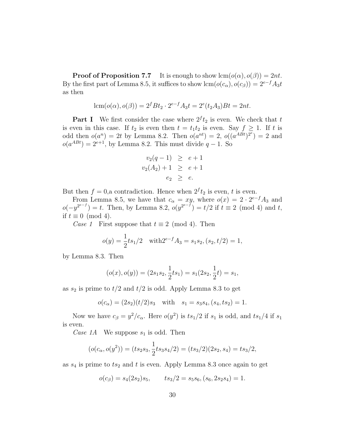**Proof of Proposition 7.7** It is enough to show  $\text{lcm}(o(\alpha), o(\beta)) = 2nt$ . By the first part of Lemma 8.5, it suffices to show  $\text{lcm}(o(c_{\alpha}), o(c_{\beta})) = 2^{e-f}A_3t$ as then

$$
lcm(o(\alpha), o(\beta)) = 2^{f}Bt_2 \cdot 2^{e-f}A_3t = 2^{e}(t_2A_3)Bt = 2nt.
$$

**Part I** We first consider the case where  $2^f t_2$  is even. We check that t is even in this case. If  $t_2$  is even then  $t = t_1t_2$  is even. Say  $f \geq 1$ . If t is odd then  $o(a^n) = 2t$  by Lemma 8.2. Then  $o(a^{nt}) = 2$ ,  $o((a^{ABt})^{2^e}) = 2$  and  $o(a^{ABt}) = 2^{e+1}$ , by Lemma 8.2. This must divide  $q-1$ . So

$$
v_2(q-1) \ge e+1 \n v_2(A_2) + 1 \ge e+1 \n e_2 \ge e.
$$

But then  $f = 0$ , a contradiction. Hence when  $2^f t_2$  is even, t is even.

From Lemma 8.5, we have that  $c_{\alpha} = xy$ , where  $o(x) = 2 \cdot 2^{e-f} A_3$  and  $o(-y^{2^{e-f}}) = t$ . Then, by Lemma 8.2,  $o(y^{2^{e-f}}) = t/2$  if  $t \equiv 2 \pmod{4}$  and t, if  $t \equiv 0 \pmod{4}$ .

Case 1 First suppose that  $t \equiv 2 \pmod{4}$ . Then

$$
o(y) = \frac{1}{2}ts_1/2 \quad \text{with} \quad 2^{e-f}A_3 = s_1s_2, (s_2, t/2) = 1,
$$

by Lemma 8.3. Then

$$
(o(x), o(y)) = (2s_1s_2, \frac{1}{2}ts_1) = s_1(2s_2, \frac{1}{2}t) = s_1,
$$

as  $s_2$  is prime to  $t/2$  and  $t/2$  is odd. Apply Lemma 8.3 to get

$$
o(c_{\alpha}) = (2s_2)(t/2)s_3
$$
 with  $s_1 = s_3s_4$ ,  $(s_4, ts_2) = 1$ .

Now we have  $c_{\beta} = y^2/c_{\alpha}$ . Here  $o(y^2)$  is  $ts_1/2$  if  $s_1$  is odd, and  $ts_1/4$  if  $s_1$ is even.

Case 1A We suppose  $s_1$  is odd. Then

$$
(o(c_{\alpha}, o(y^2)) = (ts_2s_3, \frac{1}{2}ts_3s_4/2) = (ts_3/2)(2s_2, s_4) = ts_3/2,
$$

as  $s_4$  is prime to  $ts_2$  and t is even. Apply Lemma 8.3 once again to get

$$
o(c_{\beta}) = s_4(2s_2)s_5, \qquad ts_3/2 = s_5s_6, (s_6, 2s_2s_4) = 1.
$$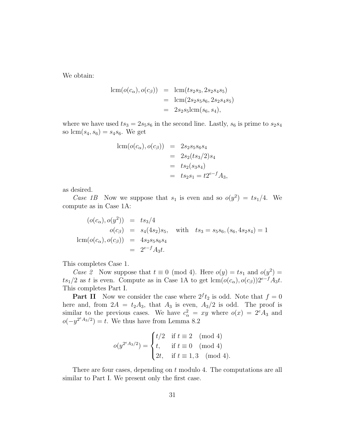We obtain:

$$
lcm(o(c_{\alpha}), o(c_{\beta})) = lcm(ts_2s_3, 2s_2s_4s_5)
$$
  
= lcm(2s\_2s\_5s\_6, 2s\_2s\_4s\_5)  
= 2s\_2s\_5lcm(s\_6, s\_4),

where we have used  $ts_3 = 2s_5s_6$  in the second line. Lastly,  $s_6$  is prime to  $s_2s_4$ so  $\text{lcm}(s_4, s_6) = s_4 s_6$ . We get

lcm(
$$
o(c_{\alpha}), o(c_{\beta})
$$
) = 2s<sub>2</sub>s<sub>5</sub>s<sub>6</sub>s<sub>4</sub>  
= 2s<sub>2</sub>(ts<sub>3</sub>/2)s<sub>4</sub>  
= ts<sub>2</sub>(s<sub>3</sub>s<sub>4</sub>)  
= ts<sub>2</sub>s<sub>1</sub> = t2<sup>e-f</sup>A<sub>3</sub>,

as desired.

Case 1B Now we suppose that  $s_1$  is even and so  $o(y^2) = ts_1/4$ . We compute as in Case 1A:

$$
(o(c_{\alpha}), o(y^{2})) = ts_{3}/4
$$
  
\n
$$
o(c_{\beta}) = s_{4}(4s_{2})s_{5}, \text{ with } ts_{3} = s_{5}s_{6}, (s_{6}, 4s_{2}s_{4}) = 1
$$
  
\n
$$
\text{lcm}(o(c_{\alpha}), o(c_{\beta})) = 4s_{2}s_{5}s_{6}s_{4}
$$
  
\n
$$
= 2^{e-f}A_{3}t.
$$

This completes Case 1.

*Case 2* Now suppose that  $t \equiv 0 \pmod{4}$ . Here  $o(y) = ts_1$  and  $o(y^2) =$  $ts_1/2$  as t is even. Compute as in Case 1A to get lcm( $o(c_{\alpha}), o(c_{\beta})$ ) $2^{e-f}A_3t$ . This completes Part I.

**Part II** Now we consider the case where  $2^f t_2$  is odd. Note that  $f = 0$ here and, from  $2A = t_2A_3$ , that  $A_3$  is even,  $A_3/2$  is odd. The proof is similar to the previous cases. We have  $c_{\alpha}^2 = xy$  where  $o(x) = 2^e A_3$  and  $o(-y^{2^eA_3/2})=t$ . We thus have from Lemma 8.2

$$
o(y^{2^{e}A_3/2}) = \begin{cases} t/2 & \text{if } t \equiv 2 \pmod{4} \\ t, & \text{if } t \equiv 0 \pmod{4} \\ 2t, & \text{if } t \equiv 1,3 \pmod{4}. \end{cases}
$$

There are four cases, depending on  $t$  modulo 4. The computations are all similar to Part I. We present only the first case.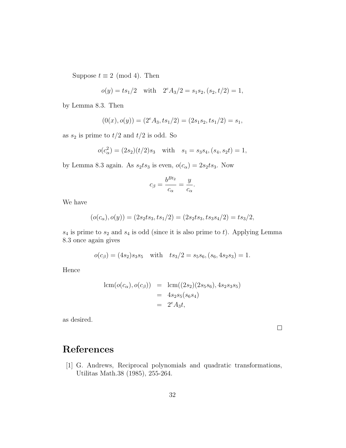Suppose  $t \equiv 2 \pmod{4}$ . Then

$$
o(y) = ts_1/2
$$
 with  $2^e A_3/2 = s_1 s_2$ ,  $(s_2, t/2) = 1$ ,

by Lemma 8.3. Then

$$
(0(x), o(y)) = (2eA3, ts1/2) = (2s1s2, ts1/2) = s1,
$$

as  $s_2$  is prime to  $t/2$  and  $t/2$  is odd. So

$$
o(c_{\alpha}^{2}) = (2s_{2})(t/2)s_{3} \text{ with } s_{1} = s_{3}s_{4}, (s_{4}, s_{2}t) = 1,
$$

by Lemma 8.3 again. As  $s_2ts_3$  is even,  $o(c_\alpha) = 2s_2ts_3$ . Now

$$
c_{\beta} = \frac{b^{Bt_2}}{c_{\alpha}} = \frac{y}{c_{\alpha}}.
$$

We have

$$
(o(c_{\alpha}), o(y)) = (2s_2ts_3, ts_1/2) = (2s_2ts_3, ts_3s_4/2) = ts_3/2,
$$

 $s_4$  is prime to  $s_2$  and  $s_4$  is odd (since it is also prime to t). Applying Lemma 8.3 once again gives

$$
o(c_{\beta}) = (4s_2)s_3s_5 \quad \text{with} \quad ts_3/2 = s_5s_6, (s_6, 4s_2s_3) = 1.
$$

Hence

$$
lcm(o(c_{\alpha}), o(c_{\beta})) = lcm((2s_2)(2s_5s_6), 4s_2s_3s_5)
$$
  
= 4s\_2s\_5(s\_6s\_4)  
= 2<sup>e</sup>A<sub>3</sub>t,

as desired.

 $\Box$ 

## References

[1] G. Andrews, Reciprocal polynomials and quadratic transformations, Utilitas Math.38 (1985), 255-264.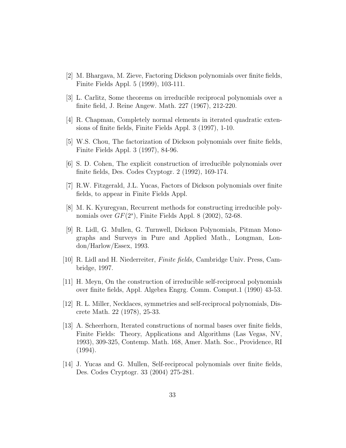- [2] M. Bhargava, M. Zieve, Factoring Dickson polynomials over finite fields, Finite Fields Appl. 5 (1999), 103-111.
- [3] L. Carlitz, Some theorems on irreducible reciprocal polynomials over a finite field, J. Reine Angew. Math. 227 (1967), 212-220.
- [4] R. Chapman, Completely normal elements in iterated quadratic extensions of finite fields, Finite Fields Appl. 3 (1997), 1-10.
- [5] W.S. Chou, The factorization of Dickson polynomials over finite fields, Finite Fields Appl. 3 (1997), 84-96.
- [6] S. D. Cohen, The explicit construction of irreducible polynomials over finite fields, Des. Codes Cryptogr. 2 (1992), 169-174.
- [7] R.W. Fitzgerald, J.L. Yucas, Factors of Dickson polynomials over finite fields, to appear in Finite Fields Appl.
- [8] M. K. Kyuregyan, Recurrent methods for constructing irreducible polynomials over  $GF(2<sup>s</sup>)$ , Finite Fields Appl. 8 (2002), 52-68.
- [9] R. Lidl, G. Mullen, G. Turnwell, Dickson Polynomials, Pitman Monographs and Surveys in Pure and Applied Math., Longman, London/Harlow/Essex, 1993.
- [10] R. Lidl and H. Niederreiter, Finite fields, Cambridge Univ. Press, Cambridge, 1997.
- [11] H. Meyn, On the construction of irreducible self-reciprocal polynomials over finite fields, Appl. Algebra Engrg. Comm. Comput.1 (1990) 43-53.
- [12] R. L. Miller, Necklaces, symmetries and self-reciprocal polynomials, Discrete Math. 22 (1978), 25-33.
- [13] A. Scheerhorn, Iterated constructions of normal bases over finite fields, Finite Fields: Theory, Applications and Algorithms (Las Vegas, NV, 1993), 309-325, Contemp. Math. 168, Amer. Math. Soc., Providence, RI (1994).
- [14] J. Yucas and G. Mullen, Self-reciprocal polynomials over finite fields, Des. Codes Cryptogr. 33 (2004) 275-281.